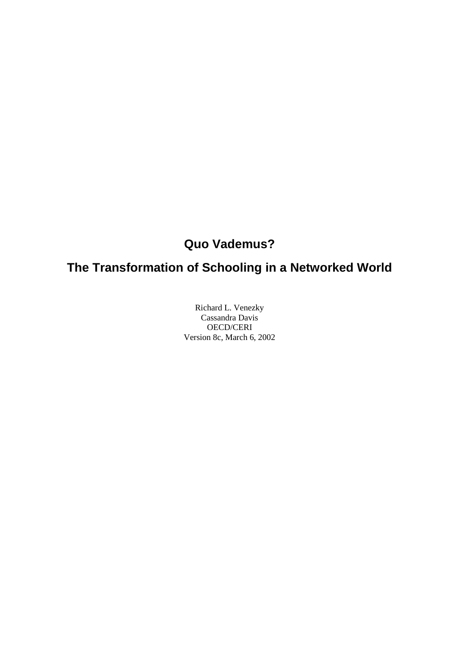# **Quo Vademus?**

# **The Transformation of Schooling in a Networked World**

Richard L. Venezky Cassandra Davis OECD/CERI Version 8c, March 6, 2002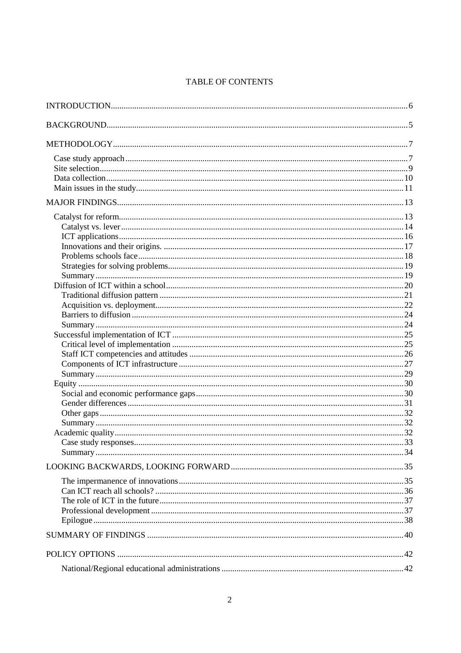## TABLE OF CONTENTS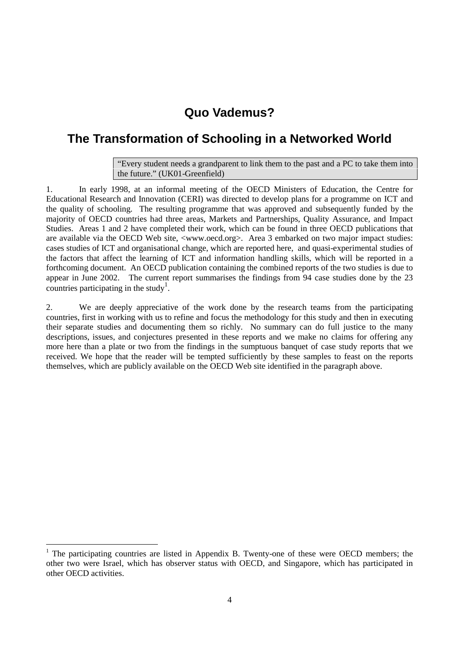## **Quo Vademus?**

## **The Transformation of Schooling in a Networked World**

"Every student needs a grandparent to link them to the past and a PC to take them into the future." (UK01-Greenfield)

1. In early 1998, at an informal meeting of the OECD Ministers of Education, the Centre for Educational Research and Innovation (CERI) was directed to develop plans for a programme on ICT and the quality of schooling. The resulting programme that was approved and subsequently funded by the majority of OECD countries had three areas, Markets and Partnerships, Quality Assurance, and Impact Studies. Areas 1 and 2 have completed their work, which can be found in three OECD publications that are available via the OECD Web site, <www.oecd.org>. Area 3 embarked on two major impact studies: cases studies of ICT and organisational change, which are reported here, and quasi-experimental studies of the factors that affect the learning of ICT and information handling skills, which will be reported in a forthcoming document. An OECD publication containing the combined reports of the two studies is due to appear in June 2002. The current report summarises the findings from 94 case studies done by the 23 countries participating in the study<sup>1</sup>.

2. We are deeply appreciative of the work done by the research teams from the participating countries, first in working with us to refine and focus the methodology for this study and then in executing their separate studies and documenting them so richly. No summary can do full justice to the many descriptions, issues, and conjectures presented in these reports and we make no claims for offering any more here than a plate or two from the findings in the sumptuous banquet of case study reports that we received. We hope that the reader will be tempted sufficiently by these samples to feast on the reports themselves, which are publicly available on the OECD Web site identified in the paragraph above.

-

<sup>&</sup>lt;sup>1</sup> The participating countries are listed in Appendix B. Twenty-one of these were OECD members; the other two were Israel, which has observer status with OECD, and Singapore, which has participated in other OECD activities.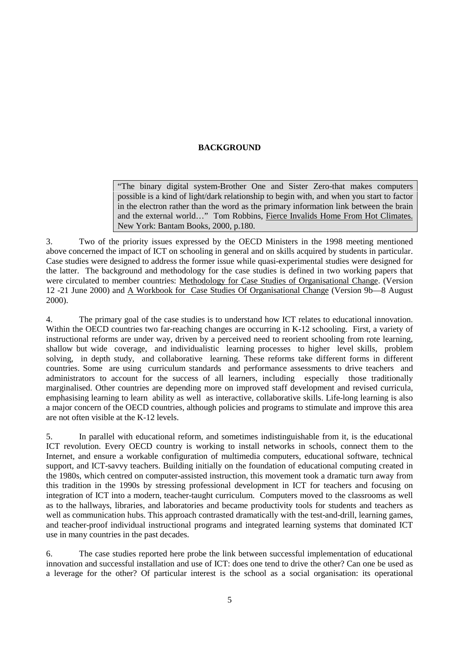### **BACKGROUND**

"The binary digital system-Brother One and Sister Zero-that makes computers possible is a kind of light/dark relationship to begin with, and when you start to factor in the electron rather than the word as the primary information link between the brain and the external world…" Tom Robbins, Fierce Invalids Home From Hot Climates. New York: Bantam Books, 2000, p.180.

3. Two of the priority issues expressed by the OECD Ministers in the 1998 meeting mentioned above concerned the impact of ICT on schooling in general and on skills acquired by students in particular. Case studies were designed to address the former issue while quasi-experimental studies were designed for the latter. The background and methodology for the case studies is defined in two working papers that were circulated to member countries: Methodology for Case Studies of Organisational Change. (Version 12 -21 June 2000) and A Workbook for Case Studies Of Organisational Change (Version 9b—8 August 2000).

4. The primary goal of the case studies is to understand how ICT relates to educational innovation. Within the OECD countries two far-reaching changes are occurring in K-12 schooling. First, a variety of instructional reforms are under way, driven by a perceived need to reorient schooling from rote learning, shallow but wide coverage, and individualistic learning processes to higher level skills, problem solving, in depth study, and collaborative learning. These reforms take different forms in different countries. Some are using curriculum standards and performance assessments to drive teachers and administrators to account for the success of all learners, including especially those traditionally marginalised. Other countries are depending more on improved staff development and revised curricula, emphasising learning to learn ability as well as interactive, collaborative skills. Life-long learning is also a major concern of the OECD countries, although policies and programs to stimulate and improve this area are not often visible at the K-12 levels.

5. In parallel with educational reform, and sometimes indistinguishable from it, is the educational ICT revolution. Every OECD country is working to install networks in schools, connect them to the Internet, and ensure a workable configuration of multimedia computers, educational software, technical support, and ICT-savvy teachers. Building initially on the foundation of educational computing created in the 1980s, which centred on computer-assisted instruction, this movement took a dramatic turn away from this tradition in the 1990s by stressing professional development in ICT for teachers and focusing on integration of ICT into a modern, teacher-taught curriculum. Computers moved to the classrooms as well as to the hallways, libraries, and laboratories and became productivity tools for students and teachers as well as communication hubs. This approach contrasted dramatically with the test-and-drill, learning games, and teacher-proof individual instructional programs and integrated learning systems that dominated ICT use in many countries in the past decades.

6. The case studies reported here probe the link between successful implementation of educational innovation and successful installation and use of ICT: does one tend to drive the other? Can one be used as a leverage for the other? Of particular interest is the school as a social organisation: its operational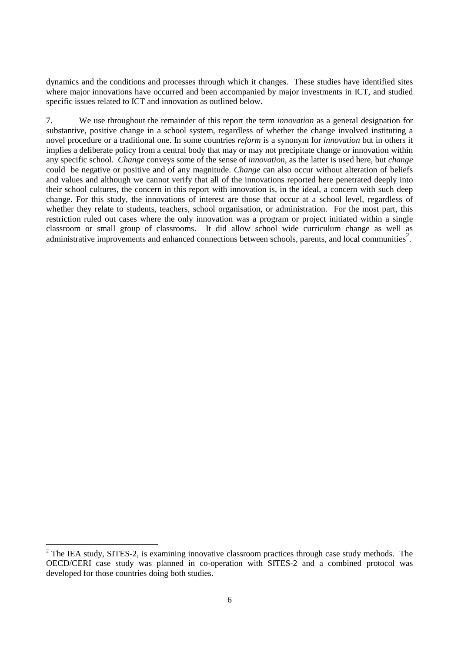dynamics and the conditions and processes through which it changes. These studies have identified sites where major innovations have occurred and been accompanied by major investments in ICT, and studied specific issues related to ICT and innovation as outlined below.

7. We use throughout the remainder of this report the term *innovation* as a general designation for substantive, positive change in a school system, regardless of whether the change involved instituting a novel procedure or a traditional one. In some countries *reform* is a synonym for *innovation* but in others it implies a deliberate policy from a central body that may or may not precipitate change or innovation within any specific school*. Change* conveys some of the sense of *innovation*, as the latter is used here, but *change* could be negative or positive and of any magnitude. *Change* can also occur without alteration of beliefs and values and although we cannot verify that all of the innovations reported here penetrated deeply into their school cultures, the concern in this report with innovation is, in the ideal, a concern with such deep change. For this study, the innovations of interest are those that occur at a school level, regardless of whether they relate to students, teachers, school organisation, or administration. For the most part, this restriction ruled out cases where the only innovation was a program or project initiated within a single classroom or small group of classrooms. It did allow school wide curriculum change as well as administrative improvements and enhanced connections between schools, parents, and local communities<sup>2</sup>.

-

 $2$  The IEA study, SITES-2, is examining innovative classroom practices through case study methods. The OECD/CERI case study was planned in co-operation with SITES-2 and a combined protocol was developed for those countries doing both studies.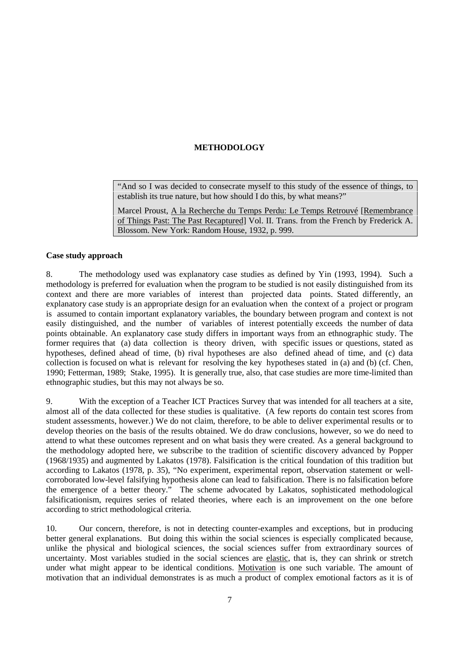## **METHODOLOGY**

"And so I was decided to consecrate myself to this study of the essence of things, to establish its true nature, but how should I do this, by what means?"

Marcel Proust, A la Recherche du Temps Perdu: Le Temps Retrouvé [Remembrance of Things Past: The Past Recaptured] Vol. II. Trans. from the French by Frederick A. Blossom. New York: Random House, 1932, p. 999.

#### **Case study approach**

8. The methodology used was explanatory case studies as defined by Yin (1993, 1994). Such a methodology is preferred for evaluation when the program to be studied is not easily distinguished from its context and there are more variables of interest than projected data points. Stated differently, an explanatory case study is an appropriate design for an evaluation when the context of a project or program is assumed to contain important explanatory variables, the boundary between program and context is not easily distinguished, and the number of variables of interest potentially exceeds the number of data points obtainable. An explanatory case study differs in important ways from an ethnographic study. The former requires that (a) data collection is theory driven, with specific issues or questions, stated as hypotheses, defined ahead of time, (b) rival hypotheses are also defined ahead of time, and (c) data collection is focused on what is relevant for resolving the key hypotheses stated in (a) and (b) (cf. Chen, 1990; Fetterman, 1989; Stake, 1995). It is generally true, also, that case studies are more time-limited than ethnographic studies, but this may not always be so.

9. With the exception of a Teacher ICT Practices Survey that was intended for all teachers at a site, almost all of the data collected for these studies is qualitative. (A few reports do contain test scores from student assessments, however.) We do not claim, therefore, to be able to deliver experimental results or to develop theories on the basis of the results obtained. We do draw conclusions, however, so we do need to attend to what these outcomes represent and on what basis they were created. As a general background to the methodology adopted here, we subscribe to the tradition of scientific discovery advanced by Popper (1968/1935) and augmented by Lakatos (1978). Falsification is the critical foundation of this tradition but according to Lakatos (1978, p. 35), "No experiment, experimental report, observation statement or wellcorroborated low-level falsifying hypothesis alone can lead to falsification. There is no falsification before the emergence of a better theory." The scheme advocated by Lakatos, sophisticated methodological falsificationism, requires series of related theories, where each is an improvement on the one before according to strict methodological criteria.

10. Our concern, therefore, is not in detecting counter-examples and exceptions, but in producing better general explanations. But doing this within the social sciences is especially complicated because, unlike the physical and biological sciences, the social sciences suffer from extraordinary sources of uncertainty. Most variables studied in the social sciences are elastic, that is, they can shrink or stretch under what might appear to be identical conditions. Motivation is one such variable. The amount of motivation that an individual demonstrates is as much a product of complex emotional factors as it is of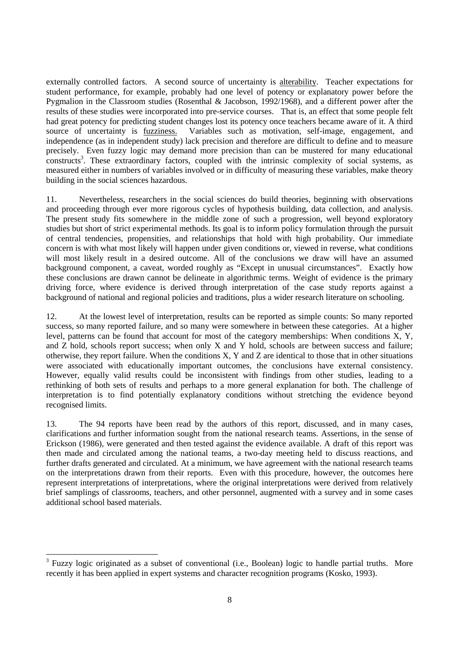externally controlled factors. A second source of uncertainty is alterability. Teacher expectations for student performance, for example, probably had one level of potency or explanatory power before the Pygmalion in the Classroom studies (Rosenthal & Jacobson, 1992/1968), and a different power after the results of these studies were incorporated into pre-service courses. That is, an effect that some people felt had great potency for predicting student changes lost its potency once teachers became aware of it. A third source of uncertainty is fuzziness. Variables such as motivation, self-image, engagement, and independence (as in independent study) lack precision and therefore are difficult to define and to measure precisely. Even fuzzy logic may demand more precision than can be mustered for many educational constructs<sup>3</sup>. These extraordinary factors, coupled with the intrinsic complexity of social systems, as measured either in numbers of variables involved or in difficulty of measuring these variables, make theory building in the social sciences hazardous.

11. Nevertheless, researchers in the social sciences do build theories, beginning with observations and proceeding through ever more rigorous cycles of hypothesis building, data collection, and analysis. The present study fits somewhere in the middle zone of such a progression, well beyond exploratory studies but short of strict experimental methods. Its goal is to inform policy formulation through the pursuit of central tendencies, propensities, and relationships that hold with high probability. Our immediate concern is with what most likely will happen under given conditions or, viewed in reverse, what conditions will most likely result in a desired outcome. All of the conclusions we draw will have an assumed background component, a caveat, worded roughly as "Except in unusual circumstances". Exactly how these conclusions are drawn cannot be delineate in algorithmic terms. Weight of evidence is the primary driving force, where evidence is derived through interpretation of the case study reports against a background of national and regional policies and traditions, plus a wider research literature on schooling.

12. At the lowest level of interpretation, results can be reported as simple counts: So many reported success, so many reported failure, and so many were somewhere in between these categories. At a higher level, patterns can be found that account for most of the category memberships: When conditions X, Y, and Z hold, schools report success; when only X and Y hold, schools are between success and failure; otherwise, they report failure. When the conditions X, Y and Z are identical to those that in other situations were associated with educationally important outcomes, the conclusions have external consistency. However, equally valid results could be inconsistent with findings from other studies, leading to a rethinking of both sets of results and perhaps to a more general explanation for both. The challenge of interpretation is to find potentially explanatory conditions without stretching the evidence beyond recognised limits.

13. The 94 reports have been read by the authors of this report, discussed, and in many cases, clarifications and further information sought from the national research teams. Assertions, in the sense of Erickson (1986), were generated and then tested against the evidence available. A draft of this report was then made and circulated among the national teams, a two-day meeting held to discuss reactions, and further drafts generated and circulated. At a minimum, we have agreement with the national research teams on the interpretations drawn from their reports. Even with this procedure, however, the outcomes here represent interpretations of interpretations, where the original interpretations were derived from relatively brief samplings of classrooms, teachers, and other personnel, augmented with a survey and in some cases additional school based materials.

-

<sup>&</sup>lt;sup>3</sup> Fuzzy logic originated as a subset of conventional (i.e., Boolean) logic to handle partial truths. More recently it has been applied in expert systems and character recognition programs (Kosko, 1993).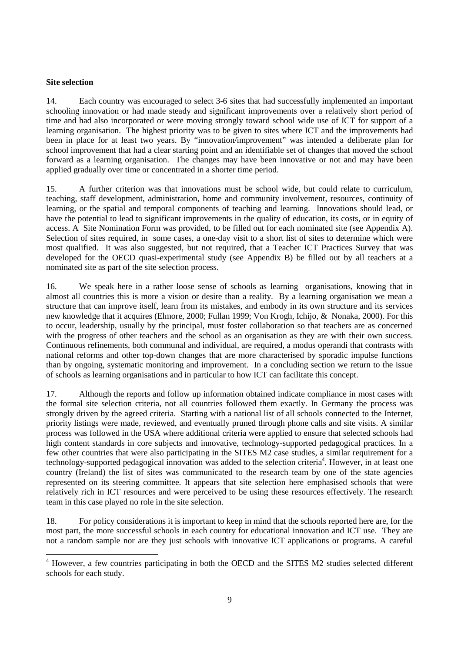#### **Site selection**

-

14. Each country was encouraged to select 3-6 sites that had successfully implemented an important schooling innovation or had made steady and significant improvements over a relatively short period of time and had also incorporated or were moving strongly toward school wide use of ICT for support of a learning organisation. The highest priority was to be given to sites where ICT and the improvements had been in place for at least two years. By "innovation/improvement" was intended a deliberate plan for school improvement that had a clear starting point and an identifiable set of changes that moved the school forward as a learning organisation. The changes may have been innovative or not and may have been applied gradually over time or concentrated in a shorter time period.

15. A further criterion was that innovations must be school wide, but could relate to curriculum, teaching, staff development, administration, home and community involvement, resources, continuity of learning, or the spatial and temporal components of teaching and learning. Innovations should lead, or have the potential to lead to significant improvements in the quality of education, its costs, or in equity of access. A Site Nomination Form was provided, to be filled out for each nominated site (see Appendix A). Selection of sites required, in some cases, a one-day visit to a short list of sites to determine which were most qualified. It was also suggested, but not required, that a Teacher ICT Practices Survey that was developed for the OECD quasi-experimental study (see Appendix B) be filled out by all teachers at a nominated site as part of the site selection process.

16. We speak here in a rather loose sense of schools as learning organisations, knowing that in almost all countries this is more a vision or desire than a reality. By a learning organisation we mean a structure that can improve itself, learn from its mistakes, and embody in its own structure and its services new knowledge that it acquires (Elmore, 2000; Fullan 1999; Von Krogh, Ichijo, & Nonaka, 2000). For this to occur, leadership, usually by the principal, must foster collaboration so that teachers are as concerned with the progress of other teachers and the school as an organisation as they are with their own success. Continuous refinements, both communal and individual, are required, a modus operandi that contrasts with national reforms and other top-down changes that are more characterised by sporadic impulse functions than by ongoing, systematic monitoring and improvement. In a concluding section we return to the issue of schools as learning organisations and in particular to how ICT can facilitate this concept.

17. Although the reports and follow up information obtained indicate compliance in most cases with the formal site selection criteria, not all countries followed them exactly. In Germany the process was strongly driven by the agreed criteria. Starting with a national list of all schools connected to the Internet, priority listings were made, reviewed, and eventually pruned through phone calls and site visits. A similar process was followed in the USA where additional criteria were applied to ensure that selected schools had high content standards in core subjects and innovative, technology-supported pedagogical practices. In a few other countries that were also participating in the SITES M2 case studies, a similar requirement for a technology-supported pedagogical innovation was added to the selection criteria<sup>4</sup>. However, in at least one country (Ireland) the list of sites was communicated to the research team by one of the state agencies represented on its steering committee. It appears that site selection here emphasised schools that were relatively rich in ICT resources and were perceived to be using these resources effectively. The research team in this case played no role in the site selection.

18. For policy considerations it is important to keep in mind that the schools reported here are, for the most part, the more successful schools in each country for educational innovation and ICT use. They are not a random sample nor are they just schools with innovative ICT applications or programs. A careful

<sup>&</sup>lt;sup>4</sup> However, a few countries participating in both the OECD and the SITES M2 studies selected different schools for each study.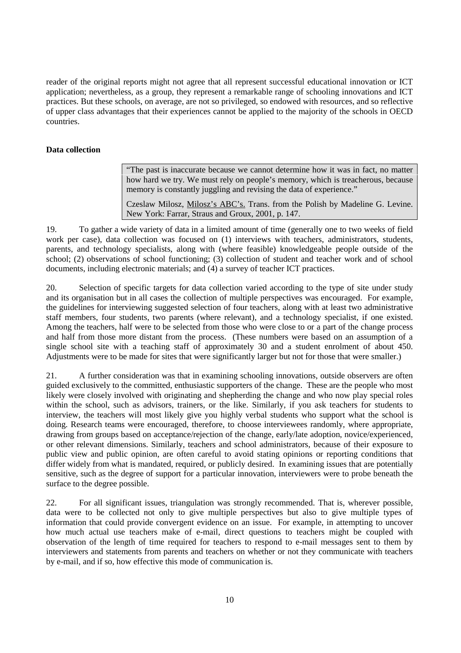reader of the original reports might not agree that all represent successful educational innovation or ICT application; nevertheless, as a group, they represent a remarkable range of schooling innovations and ICT practices. But these schools, on average, are not so privileged, so endowed with resources, and so reflective of upper class advantages that their experiences cannot be applied to the majority of the schools in OECD countries.

### **Data collection**

"The past is inaccurate because we cannot determine how it was in fact, no matter how hard we try. We must rely on people's memory, which is treacherous, because memory is constantly juggling and revising the data of experience."

Czeslaw Milosz, Milosz's ABC's. Trans. from the Polish by Madeline G. Levine. New York: Farrar, Straus and Groux, 2001, p. 147.

19. To gather a wide variety of data in a limited amount of time (generally one to two weeks of field work per case), data collection was focused on (1) interviews with teachers, administrators, students, parents, and technology specialists, along with (where feasible) knowledgeable people outside of the school; (2) observations of school functioning; (3) collection of student and teacher work and of school documents, including electronic materials; and (4) a survey of teacher ICT practices.

20. Selection of specific targets for data collection varied according to the type of site under study and its organisation but in all cases the collection of multiple perspectives was encouraged. For example, the guidelines for interviewing suggested selection of four teachers, along with at least two administrative staff members, four students, two parents (where relevant), and a technology specialist, if one existed. Among the teachers, half were to be selected from those who were close to or a part of the change process and half from those more distant from the process. (These numbers were based on an assumption of a single school site with a teaching staff of approximately 30 and a student enrolment of about 450. Adjustments were to be made for sites that were significantly larger but not for those that were smaller.)

21. A further consideration was that in examining schooling innovations, outside observers are often guided exclusively to the committed, enthusiastic supporters of the change. These are the people who most likely were closely involved with originating and shepherding the change and who now play special roles within the school, such as advisors, trainers, or the like. Similarly, if you ask teachers for students to interview, the teachers will most likely give you highly verbal students who support what the school is doing. Research teams were encouraged, therefore, to choose interviewees randomly, where appropriate, drawing from groups based on acceptance/rejection of the change, early/late adoption, novice/experienced, or other relevant dimensions. Similarly, teachers and school administrators, because of their exposure to public view and public opinion, are often careful to avoid stating opinions or reporting conditions that differ widely from what is mandated, required, or publicly desired. In examining issues that are potentially sensitive, such as the degree of support for a particular innovation, interviewers were to probe beneath the surface to the degree possible.

22. For all significant issues, triangulation was strongly recommended. That is, wherever possible, data were to be collected not only to give multiple perspectives but also to give multiple types of information that could provide convergent evidence on an issue. For example, in attempting to uncover how much actual use teachers make of e-mail, direct questions to teachers might be coupled with observation of the length of time required for teachers to respond to e-mail messages sent to them by interviewers and statements from parents and teachers on whether or not they communicate with teachers by e-mail, and if so, how effective this mode of communication is.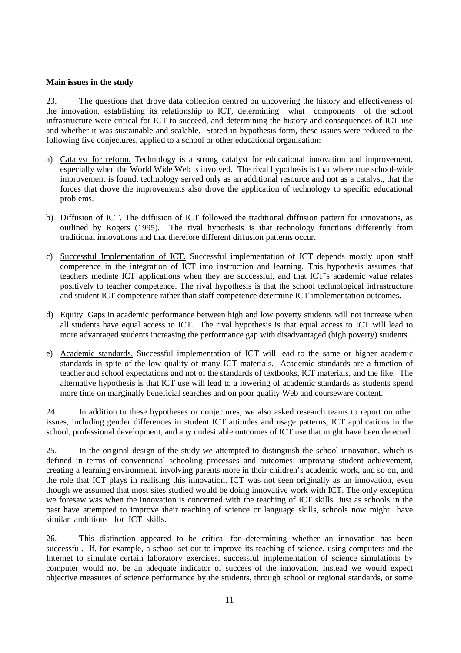#### **Main issues in the study**

23. The questions that drove data collection centred on uncovering the history and effectiveness of the innovation, establishing its relationship to ICT, determining what components of the school infrastructure were critical for ICT to succeed, and determining the history and consequences of ICT use and whether it was sustainable and scalable. Stated in hypothesis form, these issues were reduced to the following five conjectures, applied to a school or other educational organisation:

- a) Catalyst for reform. Technology is a strong catalyst for educational innovation and improvement, especially when the World Wide Web is involved. The rival hypothesis is that where true school-wide improvement is found, technology served only as an additional resource and not as a catalyst, that the forces that drove the improvements also drove the application of technology to specific educational problems.
- b) Diffusion of ICT. The diffusion of ICT followed the traditional diffusion pattern for innovations, as outlined by Rogers (1995). The rival hypothesis is that technology functions differently from traditional innovations and that therefore different diffusion patterns occur.
- c) Successful Implementation of ICT. Successful implementation of ICT depends mostly upon staff competence in the integration of ICT into instruction and learning. This hypothesis assumes that teachers mediate ICT applications when they are successful, and that ICT's academic value relates positively to teacher competence. The rival hypothesis is that the school technological infrastructure and student ICT competence rather than staff competence determine ICT implementation outcomes.
- d) Equity. Gaps in academic performance between high and low poverty students will not increase when all students have equal access to ICT. The rival hypothesis is that equal access to ICT will lead to more advantaged students increasing the performance gap with disadvantaged (high poverty) students.
- e) Academic standards. Successful implementation of ICT will lead to the same or higher academic standards in spite of the low quality of many ICT materials. Academic standards are a function of teacher and school expectations and not of the standards of textbooks, ICT materials, and the like. The alternative hypothesis is that ICT use will lead to a lowering of academic standards as students spend more time on marginally beneficial searches and on poor quality Web and courseware content.

24. In addition to these hypotheses or conjectures, we also asked research teams to report on other issues, including gender differences in student ICT attitudes and usage patterns, ICT applications in the school, professional development, and any undesirable outcomes of ICT use that might have been detected.

25. In the original design of the study we attempted to distinguish the school innovation, which is defined in terms of conventional schooling processes and outcomes: improving student achievement, creating a learning environment, involving parents more in their children's academic work, and so on, and the role that ICT plays in realising this innovation. ICT was not seen originally as an innovation, even though we assumed that most sites studied would be doing innovative work with ICT. The only exception we foresaw was when the innovation is concerned with the teaching of ICT skills. Just as schools in the past have attempted to improve their teaching of science or language skills, schools now might have similar ambitions for ICT skills.

26. This distinction appeared to be critical for determining whether an innovation has been successful. If, for example, a school set out to improve its teaching of science, using computers and the Internet to simulate certain laboratory exercises, successful implementation of science simulations by computer would not be an adequate indicator of success of the innovation. Instead we would expect objective measures of science performance by the students, through school or regional standards, or some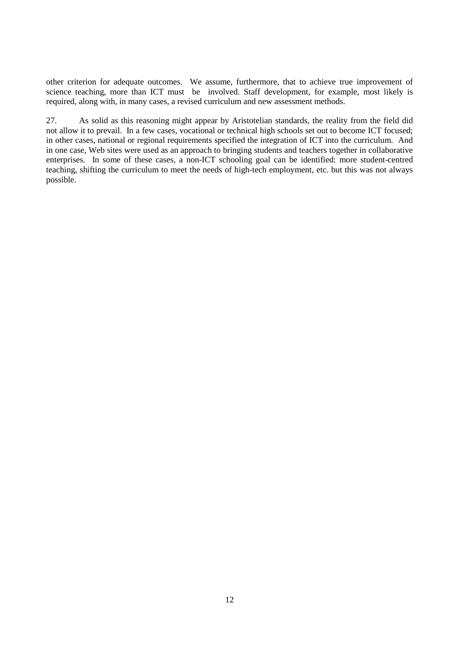other criterion for adequate outcomes. We assume, furthermore, that to achieve true improvement of science teaching, more than ICT must be involved. Staff development, for example, most likely is required, along with, in many cases, a revised curriculum and new assessment methods.

27. As solid as this reasoning might appear by Aristotelian standards, the reality from the field did not allow it to prevail. In a few cases, vocational or technical high schools set out to become ICT focused; in other cases, national or regional requirements specified the integration of ICT into the curriculum. And in one case, Web sites were used as an approach to bringing students and teachers together in collaborative enterprises. In some of these cases, a non-ICT schooling goal can be identified: more student-centred teaching, shifting the curriculum to meet the needs of high-tech employment, etc. but this was not always possible.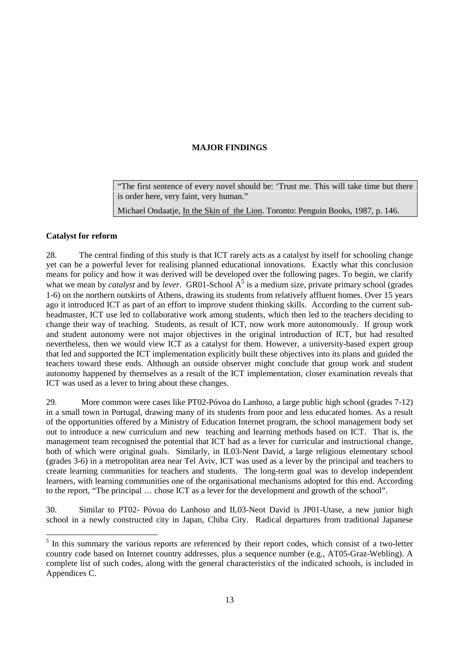## **MAJOR FINDINGS**

"The first sentence of every novel should be: 'Trust me. This will take time but there is order here, very faint, very human."

Michael Ondaatie. In the Skin of the Lion. Toronto: Penguin Books, 1987, p. 146.

### **Catalyst for reform**

<u>.</u>

28. The central finding of this study is that ICT rarely acts as a catalyst by itself for schooling change yet can be a powerful lever for realising planned educational innovations. Exactly what this conclusion means for policy and how it was derived will be developed over the following pages. To begin, we clarify what we mean by *catalyst* and by *lever*. GR01-School  $A^5$  is a medium size, private primary school (grades 1-6) on the northern outskirts of Athens, drawing its students from relatively affluent homes. Over 15 years ago it introduced ICT as part of an effort to improve student thinking skills. According to the current subheadmaster, ICT use led to collaborative work among students, which then led to the teachers deciding to change their way of teaching. Students, as result of ICT, now work more autonomously. If group work and student autonomy were not major objectives in the original introduction of ICT, but had resulted nevertheless, then we would view ICT as a catalyst for them. However, a university-based expert group that led and supported the ICT implementation explicitly built these objectives into its plans and guided the teachers toward these ends. Although an outside observer might conclude that group work and student autonomy happened by themselves as a result of the ICT implementation, closer examination reveals that ICT was used as a lever to bring about these changes.

29. More common were cases like PT02-Póvoa do Lanhoso, a large public high school (grades 7-12) in a small town in Portugal, drawing many of its students from poor and less educated homes. As a result of the opportunities offered by a Ministry of Education Internet program, the school management body set out to introduce a new curriculum and new teaching and learning methods based on ICT. That is, the management team recognised the potential that ICT had as a lever for curricular and instructional change, both of which were original goals. Similarly, in IL03-Neot David, a large religious elementary school (grades 3-6) in a metropolitan area near Tel Aviv, ICT was used as a lever by the principal and teachers to create learning communities for teachers and students. The long-term goal was to develop independent learners, with learning communities one of the organisational mechanisms adopted for this end. According to the report, "The principal … chose ICT as a lever for the development and growth of the school".

30. Similar to PT02- Póvoa do Lanhoso and IL03-Neot David is JP01-Utase, a new junior high school in a newly constructed city in Japan, Chiba City. Radical departures from traditional Japanese

<sup>&</sup>lt;sup>5</sup> In this summary the various reports are referenced by their report codes, which consist of a two-letter country code based on Internet country addresses, plus a sequence number (e.g., AT05-Graz-Webling). A complete list of such codes, along with the general characteristics of the indicated schools, is included in Appendices C.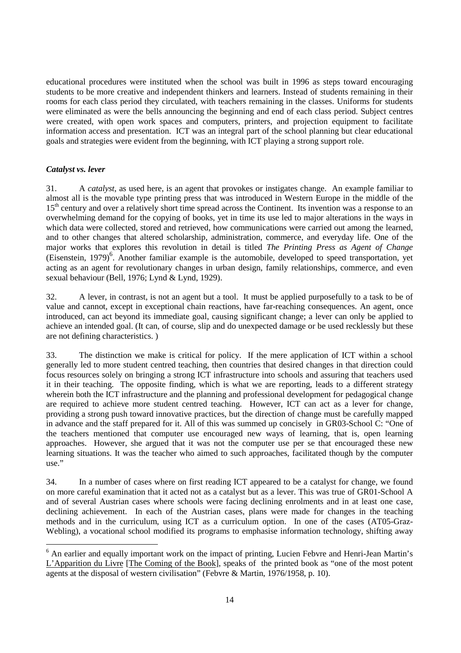educational procedures were instituted when the school was built in 1996 as steps toward encouraging students to be more creative and independent thinkers and learners. Instead of students remaining in their rooms for each class period they circulated, with teachers remaining in the classes. Uniforms for students were eliminated as were the bells announcing the beginning and end of each class period. Subject centres were created, with open work spaces and computers, printers, and projection equipment to facilitate information access and presentation. ICT was an integral part of the school planning but clear educational goals and strategies were evident from the beginning, with ICT playing a strong support role.

#### *Catalyst vs. lever*

-

31. A *catalyst*, as used here, is an agent that provokes or instigates change. An example familiar to almost all is the movable type printing press that was introduced in Western Europe in the middle of the 15<sup>th</sup> century and over a relatively short time spread across the Continent. Its invention was a response to an overwhelming demand for the copying of books, yet in time its use led to major alterations in the ways in which data were collected, stored and retrieved, how communications were carried out among the learned, and to other changes that altered scholarship, administration, commerce, and everyday life. One of the major works that explores this revolution in detail is titled *The Printing Press as Agent of Change* (Eisenstein, 1979)<sup>6</sup>. Another familiar example is the automobile, developed to speed transportation, yet acting as an agent for revolutionary changes in urban design, family relationships, commerce, and even sexual behaviour (Bell, 1976; Lynd & Lynd, 1929).

32. A lever, in contrast, is not an agent but a tool. It must be applied purposefully to a task to be of value and cannot, except in exceptional chain reactions, have far-reaching consequences. An agent, once introduced, can act beyond its immediate goal, causing significant change; a lever can only be applied to achieve an intended goal. (It can, of course, slip and do unexpected damage or be used recklessly but these are not defining characteristics. )

33. The distinction we make is critical for policy. If the mere application of ICT within a school generally led to more student centred teaching, then countries that desired changes in that direction could focus resources solely on bringing a strong ICT infrastructure into schools and assuring that teachers used it in their teaching. The opposite finding, which is what we are reporting, leads to a different strategy wherein both the ICT infrastructure and the planning and professional development for pedagogical change are required to achieve more student centred teaching. However, ICT can act as a lever for change, providing a strong push toward innovative practices, but the direction of change must be carefully mapped in advance and the staff prepared for it. All of this was summed up concisely in GR03-School C: "One of the teachers mentioned that computer use encouraged new ways of learning, that is, open learning approaches. However, she argued that it was not the computer use per se that encouraged these new learning situations. It was the teacher who aimed to such approaches, facilitated though by the computer use."

34. In a number of cases where on first reading ICT appeared to be a catalyst for change, we found on more careful examination that it acted not as a catalyst but as a lever. This was true of GR01-School A and of several Austrian cases where schools were facing declining enrolments and in at least one case, declining achievement. In each of the Austrian cases, plans were made for changes in the teaching methods and in the curriculum, using ICT as a curriculum option. In one of the cases (AT05-Graz-Webling), a vocational school modified its programs to emphasise information technology, shifting away

<sup>&</sup>lt;sup>6</sup> An earlier and equally important work on the impact of printing, Lucien Febvre and Henri-Jean Martin's L'Apparition du Livre [The Coming of the Book], speaks of the printed book as "one of the most potent agents at the disposal of western civilisation" (Febvre & Martin, 1976/1958, p. 10).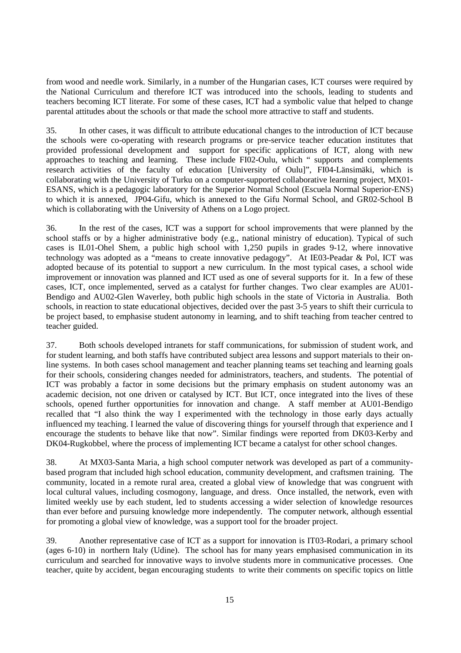from wood and needle work. Similarly, in a number of the Hungarian cases, ICT courses were required by the National Curriculum and therefore ICT was introduced into the schools, leading to students and teachers becoming ICT literate. For some of these cases, ICT had a symbolic value that helped to change parental attitudes about the schools or that made the school more attractive to staff and students.

35. In other cases, it was difficult to attribute educational changes to the introduction of ICT because the schools were co-operating with research programs or pre-service teacher education institutes that provided professional development and support for specific applications of ICT, along with new approaches to teaching and learning. These include FI02-Oulu, which " supports and complements research activities of the faculty of education [University of Oulu]", FI04-Länsimäki, which is collaborating with the University of Turku on a computer-supported collaborative learning project, MX01- ESANS, which is a pedagogic laboratory for the Superior Normal School (Escuela Normal Superior-ENS) to which it is annexed, JP04-Gifu, which is annexed to the Gifu Normal School, and GR02-School B which is collaborating with the University of Athens on a Logo project.

36. In the rest of the cases, ICT was a support for school improvements that were planned by the school staffs or by a higher administrative body (e.g., national ministry of education). Typical of such cases is IL01-Ohel Shem, a public high school with 1,250 pupils in grades 9-12, where innovative technology was adopted as a "means to create innovative pedagogy". At IE03-Peadar & Pol, ICT was adopted because of its potential to support a new curriculum. In the most typical cases, a school wide improvement or innovation was planned and ICT used as one of several supports for it. In a few of these cases, ICT, once implemented, served as a catalyst for further changes. Two clear examples are AU01- Bendigo and AU02-Glen Waverley, both public high schools in the state of Victoria in Australia. Both schools, in reaction to state educational objectives, decided over the past 3-5 years to shift their curricula to be project based, to emphasise student autonomy in learning, and to shift teaching from teacher centred to teacher guided.

37. Both schools developed intranets for staff communications, for submission of student work, and for student learning, and both staffs have contributed subject area lessons and support materials to their online systems. In both cases school management and teacher planning teams set teaching and learning goals for their schools, considering changes needed for administrators, teachers, and students. The potential of ICT was probably a factor in some decisions but the primary emphasis on student autonomy was an academic decision, not one driven or catalysed by ICT. But ICT, once integrated into the lives of these schools, opened further opportunities for innovation and change. A staff member at AU01-Bendigo recalled that "I also think the way I experimented with the technology in those early days actually influenced my teaching. I learned the value of discovering things for yourself through that experience and I encourage the students to behave like that now". Similar findings were reported from DK03-Kerby and DK04-Rugkobbel, where the process of implementing ICT became a catalyst for other school changes.

38. At MX03-Santa Maria, a high school computer network was developed as part of a communitybased program that included high school education, community development, and craftsmen training. The community, located in a remote rural area, created a global view of knowledge that was congruent with local cultural values, including cosmogony, language, and dress. Once installed, the network, even with limited weekly use by each student, led to students accessing a wider selection of knowledge resources than ever before and pursuing knowledge more independently. The computer network, although essential for promoting a global view of knowledge, was a support tool for the broader project.

39. Another representative case of ICT as a support for innovation is IT03-Rodari, a primary school (ages 6-10) in northern Italy (Udine). The school has for many years emphasised communication in its curriculum and searched for innovative ways to involve students more in communicative processes. One teacher, quite by accident, began encouraging students to write their comments on specific topics on little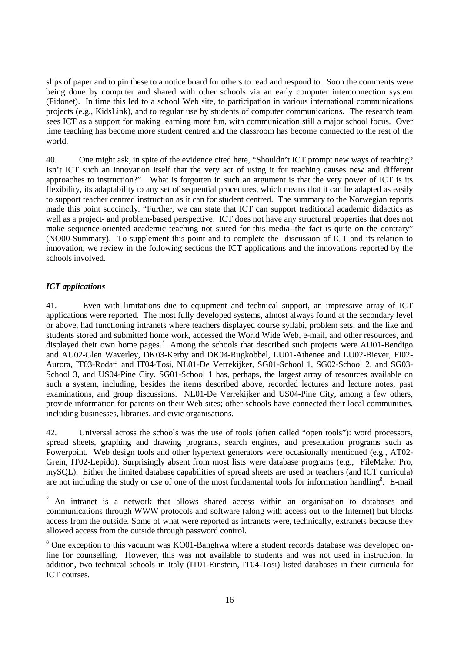slips of paper and to pin these to a notice board for others to read and respond to. Soon the comments were being done by computer and shared with other schools via an early computer interconnection system (Fidonet). In time this led to a school Web site, to participation in various international communications projects (e.g., KidsLink), and to regular use by students of computer communications. The research team sees ICT as a support for making learning more fun, with communication still a major school focus. Over time teaching has become more student centred and the classroom has become connected to the rest of the world.

40. One might ask, in spite of the evidence cited here, "Shouldn't ICT prompt new ways of teaching? Isn't ICT such an innovation itself that the very act of using it for teaching causes new and different approaches to instruction?" What is forgotten in such an argument is that the very power of ICT is its flexibility, its adaptability to any set of sequential procedures, which means that it can be adapted as easily to support teacher centred instruction as it can for student centred. The summary to the Norwegian reports made this point succinctly. "Further, we can state that ICT can support traditional academic didactics as well as a project- and problem-based perspective. ICT does not have any structural properties that does not make sequence-oriented academic teaching not suited for this media--the fact is quite on the contrary" (NO00-Summary). To supplement this point and to complete the discussion of ICT and its relation to innovation, we review in the following sections the ICT applications and the innovations reported by the schools involved.

#### *ICT applications*

41. Even with limitations due to equipment and technical support, an impressive array of ICT applications were reported. The most fully developed systems, almost always found at the secondary level or above, had functioning intranets where teachers displayed course syllabi, problem sets, and the like and students stored and submitted home work, accessed the World Wide Web, e-mail, and other resources, and displayed their own home pages.<sup>7</sup> Among the schools that described such projects were AU01-Bendigo and AU02-Glen Waverley, DK03-Kerby and DK04-Rugkobbel, LU01-Athenee and LU02-Biever, FI02- Aurora, IT03-Rodari and IT04-Tosi, NL01-De Verrekijker, SG01-School 1, SG02-School 2, and SG03- School 3, and US04-Pine City. SG01-School 1 has, perhaps, the largest array of resources available on such a system, including, besides the items described above, recorded lectures and lecture notes, past examinations, and group discussions. NL01-De Verrekijker and US04-Pine City, among a few others, provide information for parents on their Web sites; other schools have connected their local communities, including businesses, libraries, and civic organisations.

42. Universal across the schools was the use of tools (often called "open tools"): word processors, spread sheets, graphing and drawing programs, search engines, and presentation programs such as Powerpoint. Web design tools and other hypertext generators were occasionally mentioned (e.g., AT02- Grein, IT02-Lepido). Surprisingly absent from most lists were database programs (e.g., FileMaker Pro, mySQL). Either the limited database capabilities of spread sheets are used or teachers (and ICT curricula) are not including the study or use of one of the most fundamental tools for information handling<sup>8</sup>. E-mail

<sup>—&</sup>lt;br>7 An intranet is a network that allows shared access within an organisation to databases and communications through WWW protocols and software (along with access out to the Internet) but blocks access from the outside. Some of what were reported as intranets were, technically, extranets because they allowed access from the outside through password control.

<sup>&</sup>lt;sup>8</sup> One exception to this vacuum was KO01-Banghwa where a student records database was developed online for counselling. However, this was not available to students and was not used in instruction. In addition, two technical schools in Italy (IT01-Einstein, IT04-Tosi) listed databases in their curricula for ICT courses.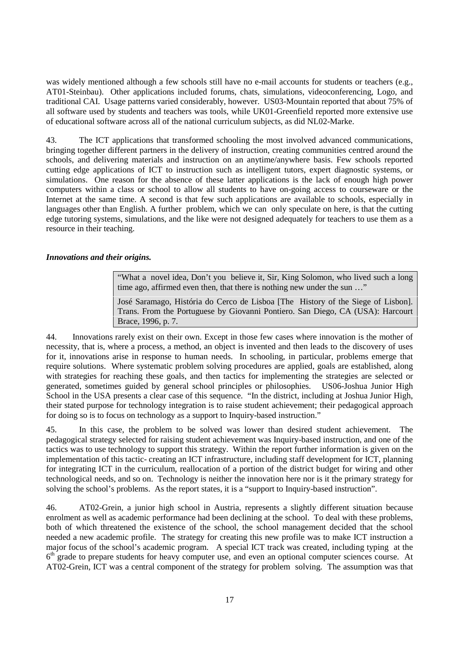was widely mentioned although a few schools still have no e-mail accounts for students or teachers (e.g., AT01-Steinbau). Other applications included forums, chats, simulations, videoconferencing, Logo, and traditional CAI. Usage patterns varied considerably, however. US03-Mountain reported that about 75% of all software used by students and teachers was tools, while UK01-Greenfield reported more extensive use of educational software across all of the national curriculum subjects, as did NL02-Marke.

43. The ICT applications that transformed schooling the most involved advanced communications, bringing together different partners in the delivery of instruction, creating communities centred around the schools, and delivering materials and instruction on an anytime/anywhere basis. Few schools reported cutting edge applications of ICT to instruction such as intelligent tutors, expert diagnostic systems, or simulations. One reason for the absence of these latter applications is the lack of enough high power computers within a class or school to allow all students to have on-going access to courseware or the Internet at the same time. A second is that few such applications are available to schools, especially in languages other than English. A further problem, which we can only speculate on here, is that the cutting edge tutoring systems, simulations, and the like were not designed adequately for teachers to use them as a resource in their teaching.

#### *Innovations and their origins.*

"What a novel idea, Don't you believe it, Sir, King Solomon, who lived such a long time ago, affirmed even then, that there is nothing new under the sun ..."

José Saramago, História do Cerco de Lisboa [The History of the Siege of Lisbon]. Trans. From the Portuguese by Giovanni Pontiero. San Diego, CA (USA): Harcourt Brace, 1996, p. 7.

44. Innovations rarely exist on their own. Except in those few cases where innovation is the mother of necessity, that is, where a process, a method, an object is invented and then leads to the discovery of uses for it, innovations arise in response to human needs. In schooling, in particular, problems emerge that require solutions. Where systematic problem solving procedures are applied, goals are established, along with strategies for reaching these goals, and then tactics for implementing the strategies are selected or generated, sometimes guided by general school principles or philosophies. US06-Joshua Junior High School in the USA presents a clear case of this sequence. "In the district, including at Joshua Junior High, their stated purpose for technology integration is to raise student achievement; their pedagogical approach for doing so is to focus on technology as a support to Inquiry-based instruction."

45. In this case, the problem to be solved was lower than desired student achievement. The pedagogical strategy selected for raising student achievement was Inquiry-based instruction, and one of the tactics was to use technology to support this strategy. Within the report further information is given on the implementation of this tactic- creating an ICT infrastructure, including staff development for ICT, planning for integrating ICT in the curriculum, reallocation of a portion of the district budget for wiring and other technological needs, and so on. Technology is neither the innovation here nor is it the primary strategy for solving the school's problems. As the report states, it is a "support to Inquiry-based instruction".

46. AT02-Grein, a junior high school in Austria, represents a slightly different situation because enrolment as well as academic performance had been declining at the school. To deal with these problems, both of which threatened the existence of the school, the school management decided that the school needed a new academic profile. The strategy for creating this new profile was to make ICT instruction a major focus of the school's academic program. A special ICT track was created, including typing at the  $6<sup>th</sup>$  grade to prepare students for heavy computer use, and even an optional computer sciences course. At AT02-Grein, ICT was a central component of the strategy for problem solving. The assumption was that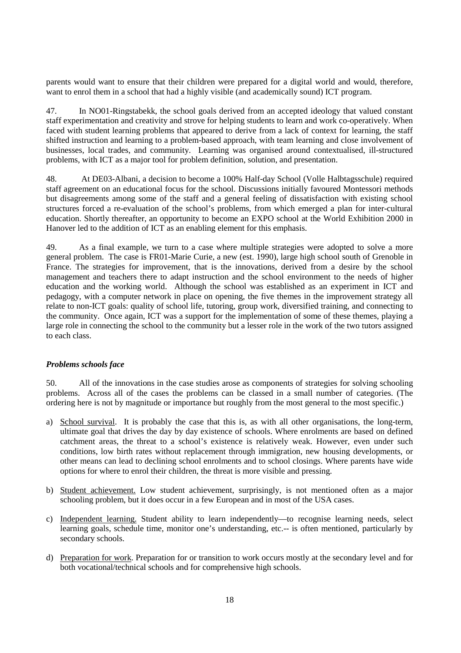parents would want to ensure that their children were prepared for a digital world and would, therefore, want to enrol them in a school that had a highly visible (and academically sound) ICT program.

47. In NO01-Ringstabekk, the school goals derived from an accepted ideology that valued constant staff experimentation and creativity and strove for helping students to learn and work co-operatively. When faced with student learning problems that appeared to derive from a lack of context for learning, the staff shifted instruction and learning to a problem-based approach, with team learning and close involvement of businesses, local trades, and community. Learning was organised around contextualised, ill-structured problems, with ICT as a major tool for problem definition, solution, and presentation.

48. At DE03-Albani, a decision to become a 100% Half-day School (Volle Halbtagsschule) required staff agreement on an educational focus for the school. Discussions initially favoured Montessori methods but disagreements among some of the staff and a general feeling of dissatisfaction with existing school structures forced a re-evaluation of the school's problems, from which emerged a plan for inter-cultural education. Shortly thereafter, an opportunity to become an EXPO school at the World Exhibition 2000 in Hanover led to the addition of ICT as an enabling element for this emphasis.

49. As a final example, we turn to a case where multiple strategies were adopted to solve a more general problem. The case is FR01-Marie Curie, a new (est. 1990), large high school south of Grenoble in France. The strategies for improvement, that is the innovations, derived from a desire by the school management and teachers there to adapt instruction and the school environment to the needs of higher education and the working world. Although the school was established as an experiment in ICT and pedagogy, with a computer network in place on opening, the five themes in the improvement strategy all relate to non-ICT goals: quality of school life, tutoring, group work, diversified training, and connecting to the community. Once again, ICT was a support for the implementation of some of these themes, playing a large role in connecting the school to the community but a lesser role in the work of the two tutors assigned to each class.

#### *Problems schools face*

50. All of the innovations in the case studies arose as components of strategies for solving schooling problems. Across all of the cases the problems can be classed in a small number of categories. (The ordering here is not by magnitude or importance but roughly from the most general to the most specific.)

- a) School survival. It is probably the case that this is, as with all other organisations, the long-term, ultimate goal that drives the day by day existence of schools. Where enrolments are based on defined catchment areas, the threat to a school's existence is relatively weak. However, even under such conditions, low birth rates without replacement through immigration, new housing developments, or other means can lead to declining school enrolments and to school closings. Where parents have wide options for where to enrol their children, the threat is more visible and pressing.
- b) Student achievement. Low student achievement, surprisingly, is not mentioned often as a major schooling problem, but it does occur in a few European and in most of the USA cases.
- c) Independent learning. Student ability to learn independently—to recognise learning needs, select learning goals, schedule time, monitor one's understanding, etc.-- is often mentioned, particularly by secondary schools.
- d) Preparation for work. Preparation for or transition to work occurs mostly at the secondary level and for both vocational/technical schools and for comprehensive high schools.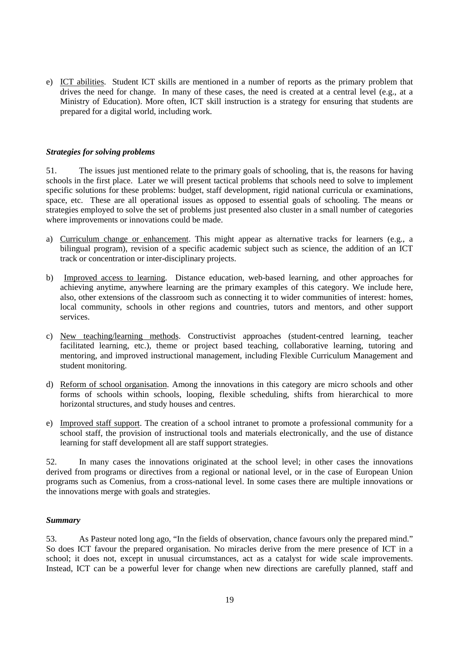e) ICT abilities. Student ICT skills are mentioned in a number of reports as the primary problem that drives the need for change. In many of these cases, the need is created at a central level (e.g., at a Ministry of Education). More often, ICT skill instruction is a strategy for ensuring that students are prepared for a digital world, including work.

#### *Strategies for solving problems*

51. The issues just mentioned relate to the primary goals of schooling, that is, the reasons for having schools in the first place. Later we will present tactical problems that schools need to solve to implement specific solutions for these problems: budget, staff development, rigid national curricula or examinations, space, etc. These are all operational issues as opposed to essential goals of schooling. The means or strategies employed to solve the set of problems just presented also cluster in a small number of categories where improvements or innovations could be made.

- a) Curriculum change or enhancement. This might appear as alternative tracks for learners (e.g., a bilingual program), revision of a specific academic subject such as science, the addition of an ICT track or concentration or inter-disciplinary projects.
- b) Improved access to learning. Distance education, web-based learning, and other approaches for achieving anytime, anywhere learning are the primary examples of this category. We include here, also, other extensions of the classroom such as connecting it to wider communities of interest: homes, local community, schools in other regions and countries, tutors and mentors, and other support services.
- c) New teaching/learning methods. Constructivist approaches (student-centred learning, teacher facilitated learning, etc.), theme or project based teaching, collaborative learning, tutoring and mentoring, and improved instructional management, including Flexible Curriculum Management and student monitoring.
- d) Reform of school organisation. Among the innovations in this category are micro schools and other forms of schools within schools, looping, flexible scheduling, shifts from hierarchical to more horizontal structures, and study houses and centres.
- e) Improved staff support. The creation of a school intranet to promote a professional community for a school staff, the provision of instructional tools and materials electronically, and the use of distance learning for staff development all are staff support strategies.

52. In many cases the innovations originated at the school level; in other cases the innovations derived from programs or directives from a regional or national level, or in the case of European Union programs such as Comenius, from a cross-national level. In some cases there are multiple innovations or the innovations merge with goals and strategies.

#### *Summary*

53. As Pasteur noted long ago, "In the fields of observation, chance favours only the prepared mind." So does ICT favour the prepared organisation. No miracles derive from the mere presence of ICT in a school; it does not, except in unusual circumstances, act as a catalyst for wide scale improvements. Instead, ICT can be a powerful lever for change when new directions are carefully planned, staff and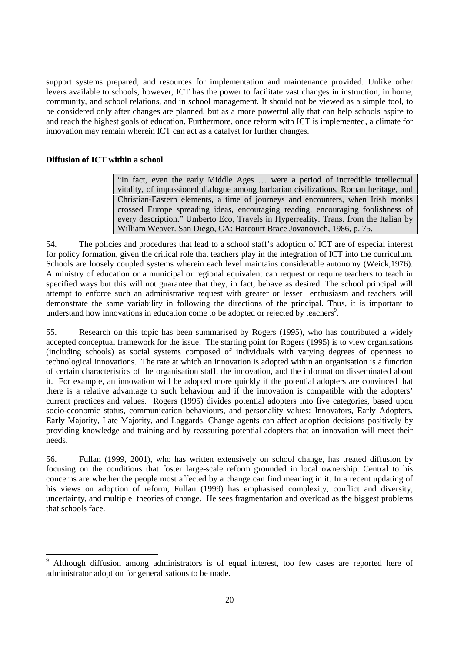support systems prepared, and resources for implementation and maintenance provided. Unlike other levers available to schools, however, ICT has the power to facilitate vast changes in instruction, in home, community, and school relations, and in school management. It should not be viewed as a simple tool, to be considered only after changes are planned, but as a more powerful ally that can help schools aspire to and reach the highest goals of education. Furthermore, once reform with ICT is implemented, a climate for innovation may remain wherein ICT can act as a catalyst for further changes.

#### **Diffusion of ICT within a school**

-

"In fact, even the early Middle Ages … were a period of incredible intellectual vitality, of impassioned dialogue among barbarian civilizations, Roman heritage, and Christian-Eastern elements, a time of journeys and encounters, when Irish monks crossed Europe spreading ideas, encouraging reading, encouraging foolishness of every description." Umberto Eco, Travels in Hyperreality. Trans. from the Italian by William Weaver. San Diego, CA: Harcourt Brace Jovanovich, 1986, p. 75.

54. The policies and procedures that lead to a school staff's adoption of ICT are of especial interest for policy formation, given the critical role that teachers play in the integration of ICT into the curriculum. Schools are loosely coupled systems wherein each level maintains considerable autonomy (Weick,1976). A ministry of education or a municipal or regional equivalent can request or require teachers to teach in specified ways but this will not guarantee that they, in fact, behave as desired. The school principal will attempt to enforce such an administrative request with greater or lesser enthusiasm and teachers will demonstrate the same variability in following the directions of the principal. Thus, it is important to understand how innovations in education come to be adopted or rejected by teachers<sup>9</sup>.

55. Research on this topic has been summarised by Rogers (1995), who has contributed a widely accepted conceptual framework for the issue. The starting point for Rogers (1995) is to view organisations (including schools) as social systems composed of individuals with varying degrees of openness to technological innovations. The rate at which an innovation is adopted within an organisation is a function of certain characteristics of the organisation staff, the innovation, and the information disseminated about it. For example, an innovation will be adopted more quickly if the potential adopters are convinced that there is a relative advantage to such behaviour and if the innovation is compatible with the adopters' current practices and values. Rogers (1995) divides potential adopters into five categories, based upon socio-economic status, communication behaviours, and personality values: Innovators, Early Adopters, Early Majority, Late Majority, and Laggards. Change agents can affect adoption decisions positively by providing knowledge and training and by reassuring potential adopters that an innovation will meet their needs.

56. Fullan (1999, 2001), who has written extensively on school change, has treated diffusion by focusing on the conditions that foster large-scale reform grounded in local ownership. Central to his concerns are whether the people most affected by a change can find meaning in it. In a recent updating of his views on adoption of reform, Fullan (1999) has emphasised complexity, conflict and diversity, uncertainty, and multiple theories of change. He sees fragmentation and overload as the biggest problems that schools face.

<sup>9</sup> Although diffusion among administrators is of equal interest, too few cases are reported here of administrator adoption for generalisations to be made.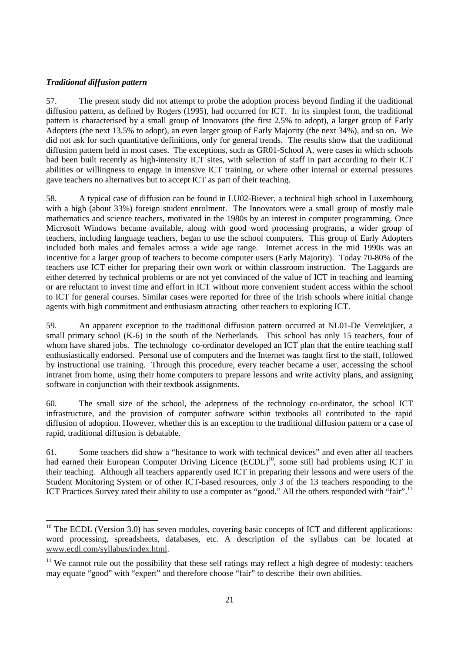#### *Traditional diffusion pattern*

-

57. The present study did not attempt to probe the adoption process beyond finding if the traditional diffusion pattern, as defined by Rogers (1995), had occurred for ICT. In its simplest form, the traditional pattern is characterised by a small group of Innovators (the first 2.5% to adopt), a larger group of Early Adopters (the next 13.5% to adopt), an even larger group of Early Majority (the next 34%), and so on. We did not ask for such quantitative definitions, only for general trends. The results show that the traditional diffusion pattern held in most cases. The exceptions, such as GR01-School A, were cases in which schools had been built recently as high-intensity ICT sites, with selection of staff in part according to their ICT abilities or willingness to engage in intensive ICT training, or where other internal or external pressures gave teachers no alternatives but to accept ICT as part of their teaching.

58. A typical case of diffusion can be found in LU02-Biever, a technical high school in Luxembourg with a high (about 33%) foreign student enrolment. The Innovators were a small group of mostly male mathematics and science teachers, motivated in the 1980s by an interest in computer programming. Once Microsoft Windows became available, along with good word processing programs, a wider group of teachers, including language teachers, began to use the school computers. This group of Early Adopters included both males and females across a wide age range. Internet access in the mid 1990s was an incentive for a larger group of teachers to become computer users (Early Majority). Today 70-80% of the teachers use ICT either for preparing their own work or within classroom instruction. The Laggards are either deterred by technical problems or are not yet convinced of the value of ICT in teaching and learning or are reluctant to invest time and effort in ICT without more convenient student access within the school to ICT for general courses. Similar cases were reported for three of the Irish schools where initial change agents with high commitment and enthusiasm attracting other teachers to exploring ICT.

59. An apparent exception to the traditional diffusion pattern occurred at NL01-De Verrekijker, a small primary school (K-6) in the south of the Netherlands. This school has only 15 teachers, four of whom have shared jobs. The technology co-ordinator developed an ICT plan that the entire teaching staff enthusiastically endorsed. Personal use of computers and the Internet was taught first to the staff, followed by instructional use training. Through this procedure, every teacher became a user, accessing the school intranet from home, using their home computers to prepare lessons and write activity plans, and assigning software in conjunction with their textbook assignments.

60. The small size of the school, the adeptness of the technology co-ordinator, the school ICT infrastructure, and the provision of computer software within textbooks all contributed to the rapid diffusion of adoption. However, whether this is an exception to the traditional diffusion pattern or a case of rapid, traditional diffusion is debatable.

61. Some teachers did show a "hesitance to work with technical devices" and even after all teachers had earned their European Computer Driving Licence (ECDL)<sup>10</sup>, some still had problems using ICT in their teaching. Although all teachers apparently used ICT in preparing their lessons and were users of the Student Monitoring System or of other ICT-based resources, only 3 of the 13 teachers responding to the ICT Practices Survey rated their ability to use a computer as "good." All the others responded with "fair".<sup>11</sup>

 $10$  The ECDL (Version 3.0) has seven modules, covering basic concepts of ICT and different applications: word processing, spreadsheets, databases, etc. A description of the syllabus can be located at www.ecdl.com/syllabus/index.html.

 $11$  We cannot rule out the possibility that these self ratings may reflect a high degree of modesty: teachers may equate "good" with "expert" and therefore choose "fair" to describe their own abilities.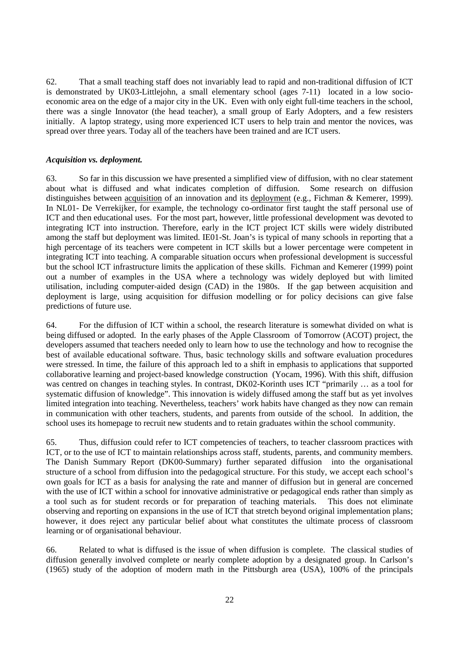62. That a small teaching staff does not invariably lead to rapid and non-traditional diffusion of ICT is demonstrated by UK03-Littlejohn, a small elementary school (ages 7-11) located in a low socioeconomic area on the edge of a major city in the UK. Even with only eight full-time teachers in the school, there was a single Innovator (the head teacher), a small group of Early Adopters, and a few resisters initially. A laptop strategy, using more experienced ICT users to help train and mentor the novices, was spread over three years. Today all of the teachers have been trained and are ICT users.

#### *Acquisition vs. deployment.*

63. So far in this discussion we have presented a simplified view of diffusion, with no clear statement about what is diffused and what indicates completion of diffusion. Some research on diffusion distinguishes between <u>acquisition</u> of an innovation and its <u>deployment</u> (e.g., Fichman & Kemerer, 1999). In NL01- De Verrekijker, for example, the technology co-ordinator first taught the staff personal use of ICT and then educational uses. For the most part, however, little professional development was devoted to integrating ICT into instruction. Therefore, early in the ICT project ICT skills were widely distributed among the staff but deployment was limited. IE01-St. Joan's is typical of many schools in reporting that a high percentage of its teachers were competent in ICT skills but a lower percentage were competent in integrating ICT into teaching. A comparable situation occurs when professional development is successful but the school ICT infrastructure limits the application of these skills. Fichman and Kemerer (1999) point out a number of examples in the USA where a technology was widely deployed but with limited utilisation, including computer-aided design (CAD) in the 1980s. If the gap between acquisition and deployment is large, using acquisition for diffusion modelling or for policy decisions can give false predictions of future use.

64. For the diffusion of ICT within a school, the research literature is somewhat divided on what is being diffused or adopted. In the early phases of the Apple Classroom of Tomorrow (ACOT) project, the developers assumed that teachers needed only to learn how to use the technology and how to recognise the best of available educational software. Thus, basic technology skills and software evaluation procedures were stressed. In time, the failure of this approach led to a shift in emphasis to applications that supported collaborative learning and project-based knowledge construction (Yocam, 1996). With this shift, diffusion was centred on changes in teaching styles. In contrast, DK02-Korinth uses ICT "primarily … as a tool for systematic diffusion of knowledge". This innovation is widely diffused among the staff but as yet involves limited integration into teaching. Nevertheless, teachers' work habits have changed as they now can remain in communication with other teachers, students, and parents from outside of the school. In addition, the school uses its homepage to recruit new students and to retain graduates within the school community.

65. Thus, diffusion could refer to ICT competencies of teachers, to teacher classroom practices with ICT, or to the use of ICT to maintain relationships across staff, students, parents, and community members. The Danish Summary Report (DK00-Summary) further separated diffusion into the organisational structure of a school from diffusion into the pedagogical structure. For this study, we accept each school's own goals for ICT as a basis for analysing the rate and manner of diffusion but in general are concerned with the use of ICT within a school for innovative administrative or pedagogical ends rather than simply as a tool such as for student records or for preparation of teaching materials. This does not eliminate observing and reporting on expansions in the use of ICT that stretch beyond original implementation plans; however, it does reject any particular belief about what constitutes the ultimate process of classroom learning or of organisational behaviour.

66. Related to what is diffused is the issue of when diffusion is complete. The classical studies of diffusion generally involved complete or nearly complete adoption by a designated group. In Carlson's (1965) study of the adoption of modern math in the Pittsburgh area (USA), 100% of the principals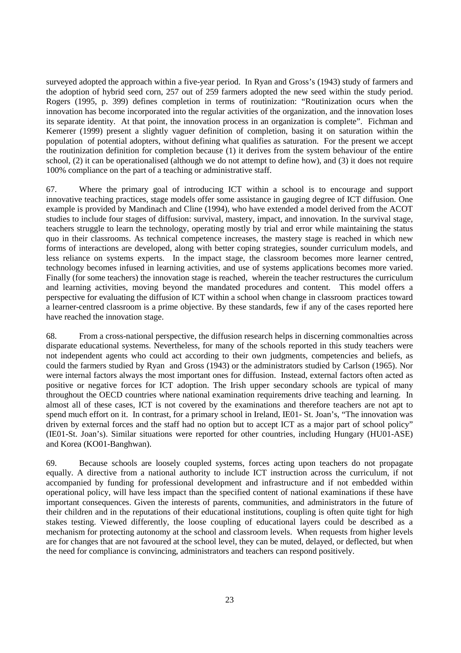surveyed adopted the approach within a five-year period. In Ryan and Gross's (1943) study of farmers and the adoption of hybrid seed corn, 257 out of 259 farmers adopted the new seed within the study period. Rogers (1995, p. 399) defines completion in terms of routinization: "Routinization ocurs when the innovation has become incorporated into the regular activities of the organization, and the innovation loses its separate identity. At that point, the innovation process in an organization is complete". Fichman and Kemerer (1999) present a slightly vaguer definition of completion, basing it on saturation within the population of potential adopters, without defining what qualifies as saturation. For the present we accept the routinization definition for completion because (1) it derives from the system behaviour of the entire school, (2) it can be operationalised (although we do not attempt to define how), and (3) it does not require 100% compliance on the part of a teaching or administrative staff.

67. Where the primary goal of introducing ICT within a school is to encourage and support innovative teaching practices, stage models offer some assistance in gauging degree of ICT diffusion. One example is provided by Mandinach and Cline (1994), who have extended a model derived from the ACOT studies to include four stages of diffusion: survival, mastery, impact, and innovation. In the survival stage, teachers struggle to learn the technology, operating mostly by trial and error while maintaining the status quo in their classrooms. As technical competence increases, the mastery stage is reached in which new forms of interactions are developed, along with better coping strategies, sounder curriculum models, and less reliance on systems experts. In the impact stage, the classroom becomes more learner centred, technology becomes infused in learning activities, and use of systems applications becomes more varied. Finally (for some teachers) the innovation stage is reached, wherein the teacher restructures the curriculum and learning activities, moving beyond the mandated procedures and content. This model offers a perspective for evaluating the diffusion of ICT within a school when change in classroom practices toward a learner-centred classroom is a prime objective. By these standards, few if any of the cases reported here have reached the innovation stage.

68. From a cross-national perspective, the diffusion research helps in discerning commonalties across disparate educational systems. Nevertheless, for many of the schools reported in this study teachers were not independent agents who could act according to their own judgments, competencies and beliefs, as could the farmers studied by Ryan and Gross (1943) or the administrators studied by Carlson (1965). Nor were internal factors always the most important ones for diffusion. Instead, external factors often acted as positive or negative forces for ICT adoption. The Irish upper secondary schools are typical of many throughout the OECD countries where national examination requirements drive teaching and learning. In almost all of these cases, ICT is not covered by the examinations and therefore teachers are not apt to spend much effort on it. In contrast, for a primary school in Ireland, IE01- St. Joan's, "The innovation was driven by external forces and the staff had no option but to accept ICT as a major part of school policy" (IE01-St. Joan's). Similar situations were reported for other countries, including Hungary (HU01-ASE) and Korea (KO01-Banghwan).

69. Because schools are loosely coupled systems, forces acting upon teachers do not propagate equally. A directive from a national authority to include ICT instruction across the curriculum, if not accompanied by funding for professional development and infrastructure and if not embedded within operational policy, will have less impact than the specified content of national examinations if these have important consequences. Given the interests of parents, communities, and administrators in the future of their children and in the reputations of their educational institutions, coupling is often quite tight for high stakes testing. Viewed differently, the loose coupling of educational layers could be described as a mechanism for protecting autonomy at the school and classroom levels. When requests from higher levels are for changes that are not favoured at the school level, they can be muted, delayed, or deflected, but when the need for compliance is convincing, administrators and teachers can respond positively.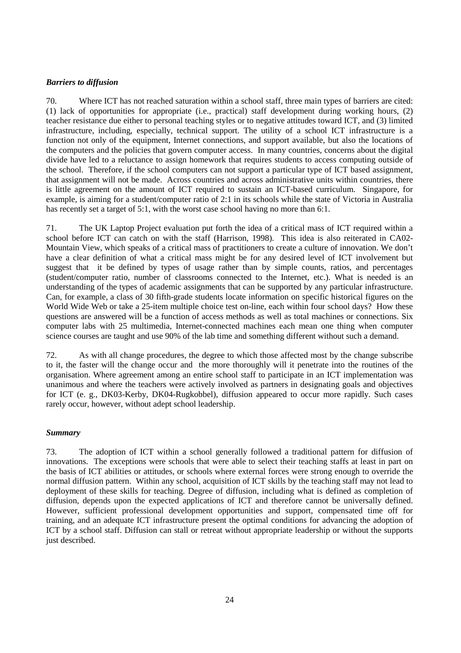#### *Barriers to diffusion*

70. Where ICT has not reached saturation within a school staff, three main types of barriers are cited: (1) lack of opportunities for appropriate (i.e., practical) staff development during working hours, (2) teacher resistance due either to personal teaching styles or to negative attitudes toward ICT, and (3) limited infrastructure, including, especially, technical support. The utility of a school ICT infrastructure is a function not only of the equipment, Internet connections, and support available, but also the locations of the computers and the policies that govern computer access. In many countries, concerns about the digital divide have led to a reluctance to assign homework that requires students to access computing outside of the school. Therefore, if the school computers can not support a particular type of ICT based assignment, that assignment will not be made. Across countries and across administrative units within countries, there is little agreement on the amount of ICT required to sustain an ICT-based curriculum. Singapore, for example, is aiming for a student/computer ratio of 2:1 in its schools while the state of Victoria in Australia has recently set a target of 5:1, with the worst case school having no more than 6:1.

71. The UK Laptop Project evaluation put forth the idea of a critical mass of ICT required within a school before ICT can catch on with the staff (Harrison, 1998). This idea is also reiterated in CA02- Mountain View, which speaks of a critical mass of practitioners to create a culture of innovation. We don't have a clear definition of what a critical mass might be for any desired level of ICT involvement but suggest that it be defined by types of usage rather than by simple counts, ratios, and percentages (student/computer ratio, number of classrooms connected to the Internet, etc.). What is needed is an understanding of the types of academic assignments that can be supported by any particular infrastructure. Can, for example, a class of 30 fifth-grade students locate information on specific historical figures on the World Wide Web or take a 25-item multiple choice test on-line, each within four school days? How these questions are answered will be a function of access methods as well as total machines or connections. Six computer labs with 25 multimedia, Internet-connected machines each mean one thing when computer science courses are taught and use 90% of the lab time and something different without such a demand.

72. As with all change procedures, the degree to which those affected most by the change subscribe to it, the faster will the change occur and the more thoroughly will it penetrate into the routines of the organisation. Where agreement among an entire school staff to participate in an ICT implementation was unanimous and where the teachers were actively involved as partners in designating goals and objectives for ICT (e. g., DK03-Kerby, DK04-Rugkobbel), diffusion appeared to occur more rapidly. Such cases rarely occur, however, without adept school leadership.

#### *Summary*

73. The adoption of ICT within a school generally followed a traditional pattern for diffusion of innovations. The exceptions were schools that were able to select their teaching staffs at least in part on the basis of ICT abilities or attitudes, or schools where external forces were strong enough to override the normal diffusion pattern. Within any school, acquisition of ICT skills by the teaching staff may not lead to deployment of these skills for teaching. Degree of diffusion, including what is defined as completion of diffusion, depends upon the expected applications of ICT and therefore cannot be universally defined. However, sufficient professional development opportunities and support, compensated time off for training, and an adequate ICT infrastructure present the optimal conditions for advancing the adoption of ICT by a school staff. Diffusion can stall or retreat without appropriate leadership or without the supports just described.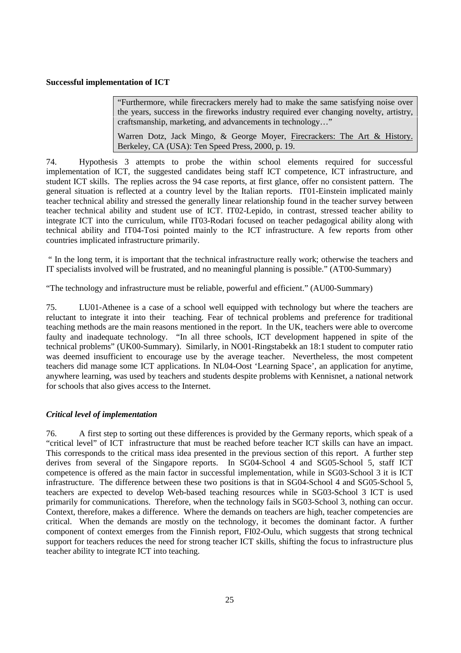#### **Successful implementation of ICT**

"Furthermore, while firecrackers merely had to make the same satisfying noise over the years, success in the fireworks industry required ever changing novelty, artistry, craftsmanship, marketing, and advancements in technology…"

Warren Dotz, Jack Mingo, & George Moyer, Firecrackers: The Art & History. Berkeley, CA (USA): Ten Speed Press, 2000, p. 19.

74. Hypothesis 3 attempts to probe the within school elements required for successful implementation of ICT, the suggested candidates being staff ICT competence, ICT infrastructure, and student ICT skills. The replies across the 94 case reports, at first glance, offer no consistent pattern. The general situation is reflected at a country level by the Italian reports. IT01-Einstein implicated mainly teacher technical ability and stressed the generally linear relationship found in the teacher survey between teacher technical ability and student use of ICT. IT02-Lepido, in contrast, stressed teacher ability to integrate ICT into the curriculum, while IT03-Rodari focused on teacher pedagogical ability along with technical ability and IT04-Tosi pointed mainly to the ICT infrastructure. A few reports from other countries implicated infrastructure primarily.

" In the long term, it is important that the technical infrastructure really work; otherwise the teachers and IT specialists involved will be frustrated, and no meaningful planning is possible." (AT00-Summary)

"The technology and infrastructure must be reliable, powerful and efficient." (AU00-Summary)

75. LU01-Athenee is a case of a school well equipped with technology but where the teachers are reluctant to integrate it into their teaching. Fear of technical problems and preference for traditional teaching methods are the main reasons mentioned in the report. In the UK, teachers were able to overcome faulty and inadequate technology. "In all three schools, ICT development happened in spite of the technical problems" (UK00-Summary). Similarly, in NO01-Ringstabekk an 18:1 student to computer ratio was deemed insufficient to encourage use by the average teacher. Nevertheless, the most competent teachers did manage some ICT applications. In NL04-Oost 'Learning Space', an application for anytime, anywhere learning, was used by teachers and students despite problems with Kennisnet, a national network for schools that also gives access to the Internet.

#### *Critical level of implementation*

76. A first step to sorting out these differences is provided by the Germany reports, which speak of a "critical level" of ICT infrastructure that must be reached before teacher ICT skills can have an impact. This corresponds to the critical mass idea presented in the previous section of this report. A further step derives from several of the Singapore reports. In SG04-School 4 and SG05-School 5, staff ICT competence is offered as the main factor in successful implementation, while in SG03-School 3 it is ICT infrastructure. The difference between these two positions is that in SG04-School 4 and SG05-School 5, teachers are expected to develop Web-based teaching resources while in SG03-School 3 ICT is used primarily for communications. Therefore, when the technology fails in SG03-School 3, nothing can occur. Context, therefore, makes a difference. Where the demands on teachers are high, teacher competencies are critical. When the demands are mostly on the technology, it becomes the dominant factor. A further component of context emerges from the Finnish report, FI02-Oulu, which suggests that strong technical support for teachers reduces the need for strong teacher ICT skills, shifting the focus to infrastructure plus teacher ability to integrate ICT into teaching.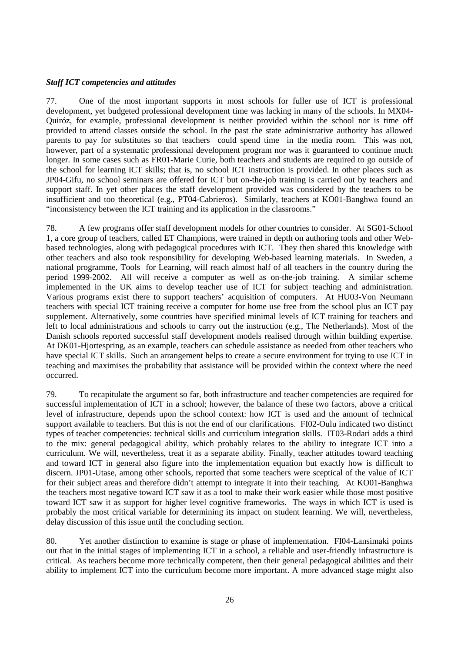#### *Staff ICT competencies and attitudes*

77. One of the most important supports in most schools for fuller use of ICT is professional development, yet budgeted professional development time was lacking in many of the schools. In MX04- Quiróz, for example, professional development is neither provided within the school nor is time off provided to attend classes outside the school. In the past the state administrative authority has allowed parents to pay for substitutes so that teachers could spend time in the media room. This was not, however, part of a systematic professional development program nor was it guaranteed to continue much longer. In some cases such as FR01-Marie Curie, both teachers and students are required to go outside of the school for learning ICT skills; that is, no school ICT instruction is provided. In other places such as JP04-Gifu, no school seminars are offered for ICT but on-the-job training is carried out by teachers and support staff. In yet other places the staff development provided was considered by the teachers to be insufficient and too theoretical (e.g., PT04-Cabrieros). Similarly, teachers at KO01-Banghwa found an "inconsistency between the ICT training and its application in the classrooms."

78. A few programs offer staff development models for other countries to consider. At SG01-School 1, a core group of teachers, called ET Champions, were trained in depth on authoring tools and other Webbased technologies, along with pedagogical procedures with ICT. They then shared this knowledge with other teachers and also took responsibility for developing Web-based learning materials. In Sweden, a national programme, Tools for Learning, will reach almost half of all teachers in the country during the period 1999-2002. All will receive a computer as well as on-the-job training. A similar scheme implemented in the UK aims to develop teacher use of ICT for subject teaching and administration. Various programs exist there to support teachers' acquisition of computers. At HU03-Von Neumann teachers with special ICT training receive a computer for home use free from the school plus an ICT pay supplement. Alternatively, some countries have specified minimal levels of ICT training for teachers and left to local administrations and schools to carry out the instruction (e.g., The Netherlands). Most of the Danish schools reported successful staff development models realised through within building expertise. At DK01-Hjortespring, as an example, teachers can schedule assistance as needed from other teachers who have special ICT skills. Such an arrangement helps to create a secure environment for trying to use ICT in teaching and maximises the probability that assistance will be provided within the context where the need occurred.

79. To recapitulate the argument so far, both infrastructure and teacher competencies are required for successful implementation of ICT in a school; however, the balance of these two factors, above a critical level of infrastructure, depends upon the school context: how ICT is used and the amount of technical support available to teachers. But this is not the end of our clarifications. FI02-Oulu indicated two distinct types of teacher competencies: technical skills and curriculum integration skills. IT03-Rodari adds a third to the mix: general pedagogical ability, which probably relates to the ability to integrate ICT into a curriculum. We will, nevertheless, treat it as a separate ability. Finally, teacher attitudes toward teaching and toward ICT in general also figure into the implementation equation but exactly how is difficult to discern. JP01-Utase, among other schools, reported that some teachers were sceptical of the value of ICT for their subject areas and therefore didn't attempt to integrate it into their teaching. At KO01-Banghwa the teachers most negative toward ICT saw it as a tool to make their work easier while those most positive toward ICT saw it as support for higher level cognitive frameworks. The ways in which ICT is used is probably the most critical variable for determining its impact on student learning. We will, nevertheless, delay discussion of this issue until the concluding section.

80. Yet another distinction to examine is stage or phase of implementation. FI04-Lansimaki points out that in the initial stages of implementing ICT in a school, a reliable and user-friendly infrastructure is critical. As teachers become more technically competent, then their general pedagogical abilities and their ability to implement ICT into the curriculum become more important. A more advanced stage might also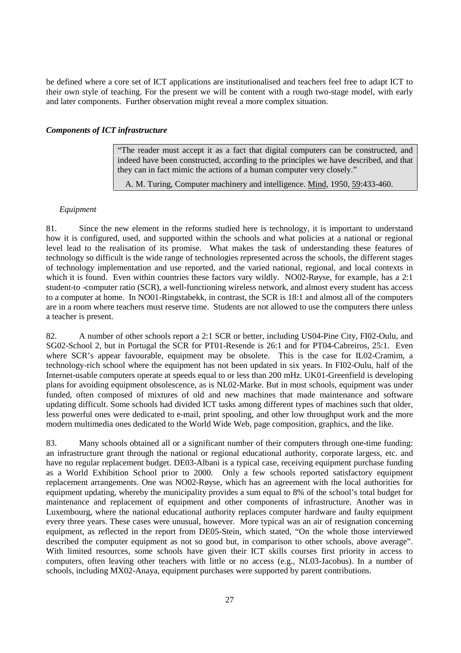be defined where a core set of ICT applications are institutionalised and teachers feel free to adapt ICT to their own style of teaching. For the present we will be content with a rough two-stage model, with early and later components. Further observation might reveal a more complex situation.

#### *Components of ICT infrastructure*

"The reader must accept it as a fact that digital computers can be constructed, and indeed have been constructed, according to the principles we have described, and that they can in fact mimic the actions of a human computer very closely."

A. M. Turing, Computer machinery and intelligence. Mind, 1950, 59:433-460.

#### *Equipment*

81. Since the new element in the reforms studied here is technology, it is important to understand how it is configured, used, and supported within the schools and what policies at a national or regional level lead to the realisation of its promise. What makes the task of understanding these features of technology so difficult is the wide range of technologies represented across the schools, the different stages of technology implementation and use reported, and the varied national, regional, and local contexts in which it is found. Even within countries these factors vary wildly. NO02-Røyse, for example, has a 2:1 student-to -computer ratio (SCR), a well-functioning wireless network, and almost every student has access to a computer at home. In NO01-Ringstabekk, in contrast, the SCR is 18:1 and almost all of the computers are in a room where teachers must reserve time. Students are not allowed to use the computers there unless a teacher is present.

82. A number of other schools report a 2:1 SCR or better, including US04-Pine City, FI02-Oulu, and SG02-School 2, but in Portugal the SCR for PT01-Resende is 26:1 and for PT04-Cabreiros, 25:1. Even where SCR's appear favourable, equipment may be obsolete. This is the case for IL02-Cramim, a technology-rich school where the equipment has not been updated in six years. In FI02-Oulu, half of the Internet-usable computers operate at speeds equal to or less than 200 mHz. UK01-Greenfield is developing plans for avoiding equipment obsolescence, as is NL02-Marke. But in most schools, equipment was under funded, often composed of mixtures of old and new machines that made maintenance and software updating difficult. Some schools had divided ICT tasks among different types of machines such that older, less powerful ones were dedicated to e-mail, print spooling, and other low throughput work and the more modern multimedia ones dedicated to the World Wide Web, page composition, graphics, and the like.

83. Many schools obtained all or a significant number of their computers through one-time funding: an infrastructure grant through the national or regional educational authority, corporate largess, etc. and have no regular replacement budget. DE03-Albani is a typical case, receiving equipment purchase funding as a World Exhibition School prior to 2000. Only a few schools reported satisfactory equipment replacement arrangements. One was NO02-Røyse, which has an agreement with the local authorities for equipment updating, whereby the municipality provides a sum equal to 8% of the school's total budget for maintenance and replacement of equipment and other components of infrastructure. Another was in Luxembourg, where the national educational authority replaces computer hardware and faulty equipment every three years. These cases were unusual, however. More typical was an air of resignation concerning equipment, as reflected in the report from DE05-Stein, which stated, "On the whole those interviewed described the computer equipment as not so good but, in comparison to other schools, above average". With limited resources, some schools have given their ICT skills courses first priority in access to computers, often leaving other teachers with little or no access (e.g., NL03-Jacobus). In a number of schools, including MX02-Anaya, equipment purchases were supported by parent contributions.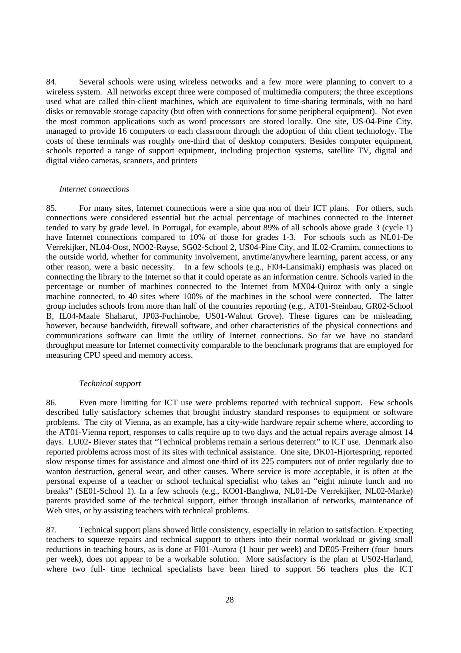84. Several schools were using wireless networks and a few more were planning to convert to a wireless system. All networks except three were composed of multimedia computers; the three exceptions used what are called thin-client machines, which are equivalent to time-sharing terminals, with no hard disks or removable storage capacity (but often with connections for some peripheral equipment). Not even the most common applications such as word processors are stored locally. One site, US-04-Pine City, managed to provide 16 computers to each classroom through the adoption of thin client technology. The costs of these terminals was roughly one-third that of desktop computers. Besides computer equipment, schools reported a range of support equipment, including projection systems, satellite TV, digital and digital video cameras, scanners, and printers

#### *Internet connections*

85. For many sites, Internet connections were a sine qua non of their ICT plans. For others, such connections were considered essential but the actual percentage of machines connected to the Internet tended to vary by grade level. In Portugal, for example, about 89% of all schools above grade 3 (cycle 1) have Internet connections compared to 10% of those for grades 1-3. For schools such as NL01-De Verrekijker, NL04-Oost, NO02-Røyse, SG02-School 2, US04-Pine City, and IL02-Cramim, connections to the outside world, whether for community involvement, anytime/anywhere learning, parent access, or any other reason, were a basic necessity. In a few schools (e.g., FI04-Lansimaki) emphasis was placed on connecting the library to the Internet so that it could operate as an information centre. Schools varied in the percentage or number of machines connected to the Internet from MX04-Quiroz with only a single machine connected, to 40 sites where 100% of the machines in the school were connected. The latter group includes schools from more than half of the countries reporting (e.g., AT01-Steinbau, GR02-School B, IL04-Maale Shaharut, JP03-Fuchinobe, US01-Walnut Grove). These figures can be misleading, however, because bandwidth, firewall software, and other characteristics of the physical connections and communications software can limit the utility of Internet connections. So far we have no standard throughput measure for Internet connectivity comparable to the benchmark programs that are employed for measuring CPU speed and memory access.

#### *Technical support*

86. Even more limiting for ICT use were problems reported with technical support. Few schools described fully satisfactory schemes that brought industry standard responses to equipment or software problems. The city of Vienna, as an example, has a city-wide hardware repair scheme where, according to the AT01-Vienna report, responses to calls require up to two days and the actual repairs average almost 14 days. LU02- Biever states that "Technical problems remain a serious deterrent" to ICT use. Denmark also reported problems across most of its sites with technical assistance. One site, DK01-Hjortespring, reported slow response times for assistance and almost one-third of its 225 computers out of order regularly due to wanton destruction, general wear, and other causes. Where service is more acceptable, it is often at the personal expense of a teacher or school technical specialist who takes an "eight minute lunch and no breaks" (SE01-School 1). In a few schools (e.g., KO01-Banghwa, NL01-De Verrekijker, NL02-Marke) parents provided some of the technical support, either through installation of networks, maintenance of Web sites, or by assisting teachers with technical problems.

87. Technical support plans showed little consistency, especially in relation to satisfaction. Expecting teachers to squeeze repairs and technical support to others into their normal workload or giving small reductions in teaching hours, as is done at FI01-Aurora (1 hour per week) and DE05-Freiherr (four hours per week), does not appear to be a workable solution. More satisfactory is the plan at US02-Harland, where two full- time technical specialists have been hired to support 56 teachers plus the ICT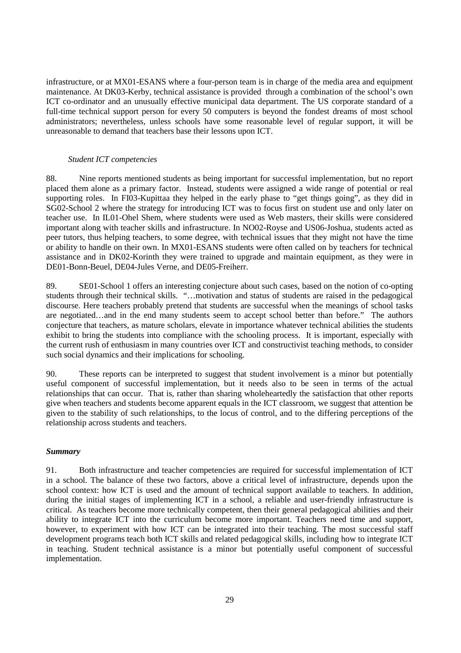infrastructure, or at MX01-ESANS where a four-person team is in charge of the media area and equipment maintenance. At DK03-Kerby, technical assistance is provided through a combination of the school's own ICT co-ordinator and an unusually effective municipal data department. The US corporate standard of a full-time technical support person for every 50 computers is beyond the fondest dreams of most school administrators; nevertheless, unless schools have some reasonable level of regular support, it will be unreasonable to demand that teachers base their lessons upon ICT.

#### *Student ICT competencies*

88. Nine reports mentioned students as being important for successful implementation, but no report placed them alone as a primary factor. Instead, students were assigned a wide range of potential or real supporting roles. In FI03-Kupittaa they helped in the early phase to "get things going", as they did in SG02-School 2 where the strategy for introducing ICT was to focus first on student use and only later on teacher use. In IL01-Ohel Shem, where students were used as Web masters, their skills were considered important along with teacher skills and infrastructure. In NO02-Royse and US06-Joshua, students acted as peer tutors, thus helping teachers, to some degree, with technical issues that they might not have the time or ability to handle on their own. In MX01-ESANS students were often called on by teachers for technical assistance and in DK02-Korinth they were trained to upgrade and maintain equipment, as they were in DE01-Bonn-Beuel, DE04-Jules Verne, and DE05-Freiherr.

89. SE01-School 1 offers an interesting conjecture about such cases, based on the notion of co-opting students through their technical skills. "…motivation and status of students are raised in the pedagogical discourse. Here teachers probably pretend that students are successful when the meanings of school tasks are negotiated…and in the end many students seem to accept school better than before." The authors conjecture that teachers, as mature scholars, elevate in importance whatever technical abilities the students exhibit to bring the students into compliance with the schooling process. It is important, especially with the current rush of enthusiasm in many countries over ICT and constructivist teaching methods, to consider such social dynamics and their implications for schooling.

90. These reports can be interpreted to suggest that student involvement is a minor but potentially useful component of successful implementation, but it needs also to be seen in terms of the actual relationships that can occur. That is, rather than sharing wholeheartedly the satisfaction that other reports give when teachers and students become apparent equals in the ICT classroom, we suggest that attention be given to the stability of such relationships, to the locus of control, and to the differing perceptions of the relationship across students and teachers.

#### *Summary*

91. Both infrastructure and teacher competencies are required for successful implementation of ICT in a school. The balance of these two factors, above a critical level of infrastructure, depends upon the school context: how ICT is used and the amount of technical support available to teachers. In addition, during the initial stages of implementing ICT in a school, a reliable and user-friendly infrastructure is critical. As teachers become more technically competent, then their general pedagogical abilities and their ability to integrate ICT into the curriculum become more important. Teachers need time and support, however, to experiment with how ICT can be integrated into their teaching. The most successful staff development programs teach both ICT skills and related pedagogical skills, including how to integrate ICT in teaching. Student technical assistance is a minor but potentially useful component of successful implementation.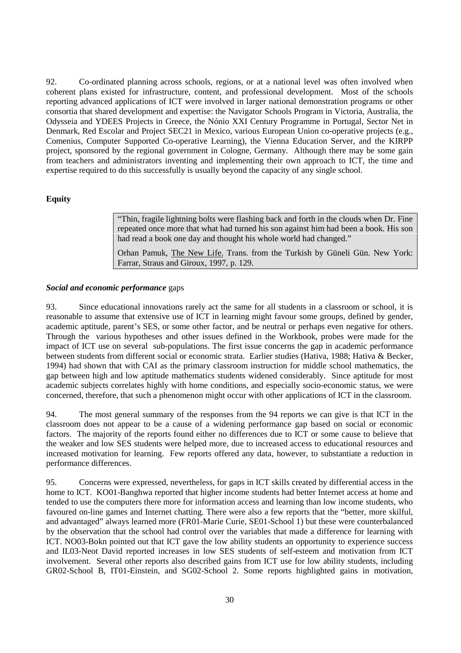92. Co-ordinated planning across schools, regions, or at a national level was often involved when coherent plans existed for infrastructure, content, and professional development. Most of the schools reporting advanced applications of ICT were involved in larger national demonstration programs or other consortia that shared development and expertise: the Navigator Schools Program in Victoria, Australia, the Odysseia and YDEES Projects in Greece, the Nónio XXI Century Programme in Portugal, Sector Net in Denmark, Red Escolar and Project SEC21 in Mexico, various European Union co-operative projects (e.g., Comenius, Computer Supported Co-operative Learning), the Vienna Education Server, and the KIRPP project, sponsored by the regional government in Cologne, Germany. Although there may be some gain from teachers and administrators inventing and implementing their own approach to ICT, the time and expertise required to do this successfully is usually beyond the capacity of any single school.

#### **Equity**

"Thin, fragile lightning bolts were flashing back and forth in the clouds when Dr. Fine repeated once more that what had turned his son against him had been a book. His son had read a book one day and thought his whole world had changed."

Orhan Pamuk, The New Life. Trans. from the Turkish by Güneli Gün. New York: Farrar, Straus and Giroux, 1997, p. 129.

#### *Social and economic performance* gaps

93. Since educational innovations rarely act the same for all students in a classroom or school, it is reasonable to assume that extensive use of ICT in learning might favour some groups, defined by gender, academic aptitude, parent's SES, or some other factor, and be neutral or perhaps even negative for others. Through the various hypotheses and other issues defined in the Workbook, probes were made for the impact of ICT use on several sub-populations. The first issue concerns the gap in academic performance between students from different social or economic strata. Earlier studies (Hativa, 1988; Hativa & Becker, 1994) had shown that with CAI as the primary classroom instruction for middle school mathematics, the gap between high and low aptitude mathematics students widened considerably. Since aptitude for most academic subjects correlates highly with home conditions, and especially socio-economic status, we were concerned, therefore, that such a phenomenon might occur with other applications of ICT in the classroom.

94. The most general summary of the responses from the 94 reports we can give is that ICT in the classroom does not appear to be a cause of a widening performance gap based on social or economic factors. The majority of the reports found either no differences due to ICT or some cause to believe that the weaker and low SES students were helped more, due to increased access to educational resources and increased motivation for learning. Few reports offered any data, however, to substantiate a reduction in performance differences.

95. Concerns were expressed, nevertheless, for gaps in ICT skills created by differential access in the home to ICT. KO01-Banghwa reported that higher income students had better Internet access at home and tended to use the computers there more for information access and learning than low income students, who favoured on-line games and Internet chatting. There were also a few reports that the "better, more skilful, and advantaged" always learned more (FR01-Marie Curie, SE01-School 1) but these were counterbalanced by the observation that the school had control over the variables that made a difference for learning with ICT. NO03-Bokn pointed out that ICT gave the low ability students an opportunity to experience success and IL03-Neot David reported increases in low SES students of self-esteem and motivation from ICT involvement. Several other reports also described gains from ICT use for low ability students, including GR02-School B, IT01-Einstein, and SG02-School 2. Some reports highlighted gains in motivation,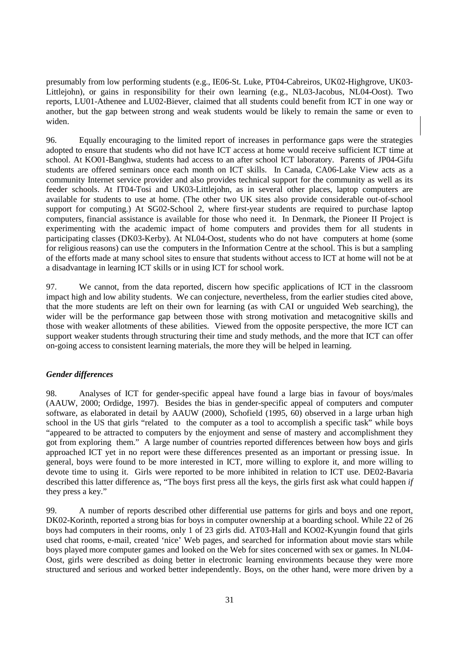presumably from low performing students (e.g., IE06-St. Luke, PT04-Cabreiros, UK02-Highgrove, UK03- Littlejohn), or gains in responsibility for their own learning (e.g., NL03-Jacobus, NL04-Oost). Two reports, LU01-Athenee and LU02-Biever, claimed that all students could benefit from ICT in one way or another, but the gap between strong and weak students would be likely to remain the same or even to widen.

96. Equally encouraging to the limited report of increases in performance gaps were the strategies adopted to ensure that students who did not have ICT access at home would receive sufficient ICT time at school. At KO01-Banghwa, students had access to an after school ICT laboratory. Parents of JP04-Gifu students are offered seminars once each month on ICT skills. In Canada, CA06-Lake View acts as a community Internet service provider and also provides technical support for the community as well as its feeder schools. At IT04-Tosi and UK03-Littlejohn, as in several other places, laptop computers are available for students to use at home. (The other two UK sites also provide considerable out-of-school support for computing.) At SG02-School 2, where first-year students are required to purchase laptop computers, financial assistance is available for those who need it. In Denmark, the Pioneer II Project is experimenting with the academic impact of home computers and provides them for all students in participating classes (DK03-Kerby). At NL04-Oost, students who do not have computers at home (some for religious reasons) can use the computers in the Information Centre at the school. This is but a sampling of the efforts made at many school sites to ensure that students without access to ICT at home will not be at a disadvantage in learning ICT skills or in using ICT for school work.

97. We cannot, from the data reported, discern how specific applications of ICT in the classroom impact high and low ability students. We can conjecture, nevertheless, from the earlier studies cited above, that the more students are left on their own for learning (as with CAI or unguided Web searching), the wider will be the performance gap between those with strong motivation and metacognitive skills and those with weaker allotments of these abilities. Viewed from the opposite perspective, the more ICT can support weaker students through structuring their time and study methods, and the more that ICT can offer on-going access to consistent learning materials, the more they will be helped in learning.

#### *Gender differences*

98. Analyses of ICT for gender-specific appeal have found a large bias in favour of boys/males (AAUW, 2000; Ordidge, 1997). Besides the bias in gender-specific appeal of computers and computer software, as elaborated in detail by AAUW (2000), Schofield (1995, 60) observed in a large urban high school in the US that girls "related to the computer as a tool to accomplish a specific task" while boys "appeared to be attracted to computers by the enjoyment and sense of mastery and accomplishment they got from exploring them." A large number of countries reported differences between how boys and girls approached ICT yet in no report were these differences presented as an important or pressing issue. In general, boys were found to be more interested in ICT, more willing to explore it, and more willing to devote time to using it. Girls were reported to be more inhibited in relation to ICT use. DE02-Bavaria described this latter difference as, "The boys first press all the keys, the girls first ask what could happen *if* they press a key."

99. A number of reports described other differential use patterns for girls and boys and one report, DK02-Korinth, reported a strong bias for boys in computer ownership at a boarding school. While 22 of 26 boys had computers in their rooms, only 1 of 23 girls did. AT03-Hall and KO02-Kyungin found that girls used chat rooms, e-mail, created 'nice' Web pages, and searched for information about movie stars while boys played more computer games and looked on the Web for sites concerned with sex or games. In NL04- Oost, girls were described as doing better in electronic learning environments because they were more structured and serious and worked better independently. Boys, on the other hand, were more driven by a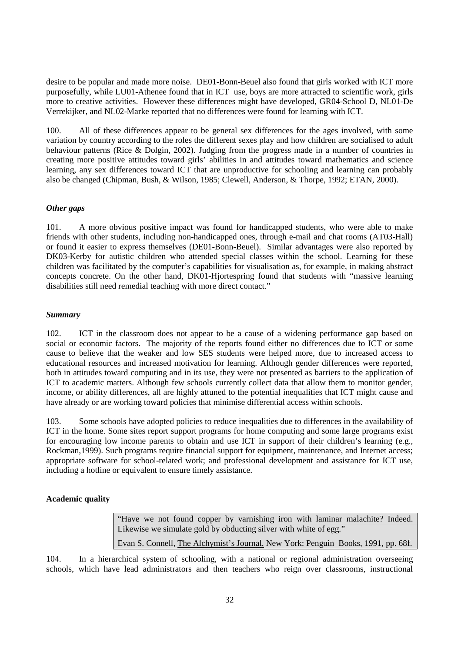desire to be popular and made more noise. DE01-Bonn-Beuel also found that girls worked with ICT more purposefully, while LU01-Athenee found that in ICT use, boys are more attracted to scientific work, girls more to creative activities. However these differences might have developed, GR04-School D, NL01-De Verrekijker, and NL02-Marke reported that no differences were found for learning with ICT.

100. All of these differences appear to be general sex differences for the ages involved, with some variation by country according to the roles the different sexes play and how children are socialised to adult behaviour patterns (Rice & Dolgin, 2002). Judging from the progress made in a number of countries in creating more positive attitudes toward girls' abilities in and attitudes toward mathematics and science learning, any sex differences toward ICT that are unproductive for schooling and learning can probably also be changed (Chipman, Bush, & Wilson, 1985; Clewell, Anderson, & Thorpe, 1992; ETAN, 2000).

#### *Other gaps*

101. A more obvious positive impact was found for handicapped students, who were able to make friends with other students, including non-handicapped ones, through e-mail and chat rooms (AT03-Hall) or found it easier to express themselves (DE01-Bonn-Beuel). Similar advantages were also reported by DK03-Kerby for autistic children who attended special classes within the school. Learning for these children was facilitated by the computer's capabilities for visualisation as, for example, in making abstract concepts concrete. On the other hand, DK01-Hjortespring found that students with "massive learning disabilities still need remedial teaching with more direct contact."

#### *Summary*

102. ICT in the classroom does not appear to be a cause of a widening performance gap based on social or economic factors. The majority of the reports found either no differences due to ICT or some cause to believe that the weaker and low SES students were helped more, due to increased access to educational resources and increased motivation for learning. Although gender differences were reported, both in attitudes toward computing and in its use, they were not presented as barriers to the application of ICT to academic matters. Although few schools currently collect data that allow them to monitor gender, income, or ability differences, all are highly attuned to the potential inequalities that ICT might cause and have already or are working toward policies that minimise differential access within schools.

103. Some schools have adopted policies to reduce inequalities due to differences in the availability of ICT in the home. Some sites report support programs for home computing and some large programs exist for encouraging low income parents to obtain and use ICT in support of their children's learning (e.g., Rockman,1999). Such programs require financial support for equipment, maintenance, and Internet access; appropriate software for school-related work; and professional development and assistance for ICT use, including a hotline or equivalent to ensure timely assistance.

#### **Academic quality**

"Have we not found copper by varnishing iron with laminar malachite? Indeed. Likewise we simulate gold by obducting silver with white of egg."

Evan S. Connell, The Alchymist's Journal. New York: Penguin Books, 1991, pp. 68f.

104. In a hierarchical system of schooling, with a national or regional administration overseeing schools, which have lead administrators and then teachers who reign over classrooms, instructional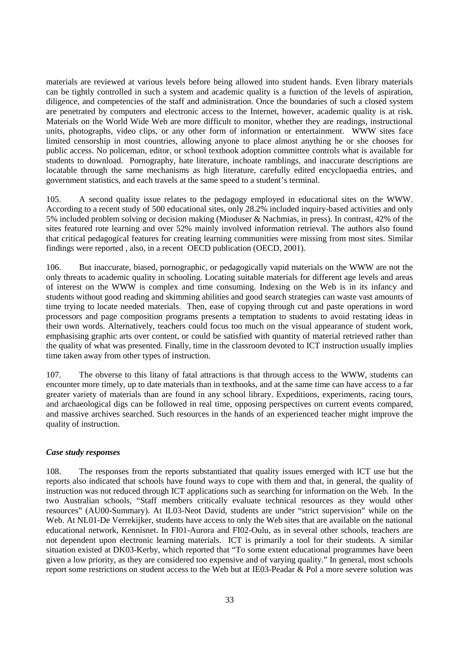materials are reviewed at various levels before being allowed into student hands. Even library materials can be tightly controlled in such a system and academic quality is a function of the levels of aspiration, diligence, and competencies of the staff and administration. Once the boundaries of such a closed system are penetrated by computers and electronic access to the Internet, however, academic quality is at risk. Materials on the World Wide Web are more difficult to monitor, whether they are readings, instructional units, photographs, video clips, or any other form of information or entertainment. WWW sites face limited censorship in most countries, allowing anyone to place almost anything he or she chooses for public access. No policeman, editor, or school textbook adoption committee controls what is available for students to download. Pornography, hate literature, inchoate ramblings, and inaccurate descriptions are locatable through the same mechanisms as high literature, carefully edited encyclopaedia entries, and government statistics, and each travels at the same speed to a student's terminal.

105. A second quality issue relates to the pedagogy employed in educational sites on the WWW. According to a recent study of 500 educational sites, only 28.2% included inquiry-based activities and only 5% included problem solving or decision making (Mioduser & Nachmias, in press). In contrast, 42% of the sites featured rote learning and over 52% mainly involved information retrieval. The authors also found that critical pedagogical features for creating learning communities were missing from most sites. Similar findings were reported , also, in a recent OECD publication (OECD, 2001).

106. But inaccurate, biased, pornographic, or pedagogically vapid materials on the WWW are not the only threats to academic quality in schooling. Locating suitable materials for different age levels and areas of interest on the WWW is complex and time consuming. Indexing on the Web is in its infancy and students without good reading and skimming abilities and good search strategies can waste vast amounts of time trying to locate needed materials. Then, ease of copying through cut and paste operations in word processors and page composition programs presents a temptation to students to avoid restating ideas in their own words. Alternatively, teachers could focus too much on the visual appearance of student work, emphasising graphic arts over content, or could be satisfied with quantity of material retrieved rather than the quality of what was presented. Finally, time in the classroom devoted to ICT instruction usually implies time taken away from other types of instruction.

107. The obverse to this litany of fatal attractions is that through access to the WWW, students can encounter more timely, up to date materials than in textbooks, and at the same time can have access to a far greater variety of materials than are found in any school library. Expeditions, experiments, racing tours, and archaeological digs can be followed in real time, opposing perspectives on current events compared, and massive archives searched. Such resources in the hands of an experienced teacher might improve the quality of instruction.

#### *Case study responses*

108. The responses from the reports substantiated that quality issues emerged with ICT use but the reports also indicated that schools have found ways to cope with them and that, in general, the quality of instruction was not reduced through ICT applications such as searching for information on the Web. In the two Australian schools, "Staff members critically evaluate technical resources as they would other resources" (AU00-Summary). At IL03-Neot David, students are under "strict supervision" while on the Web. At NL01-De Verrekijker, students have access to only the Web sites that are available on the national educational network, Kennisnet. In FI01-Aurora and FI02-Oulu, as in several other schools, teachers are not dependent upon electronic learning materials. ICT is primarily a tool for their students. A similar situation existed at DK03-Kerby, which reported that "To some extent educational programmes have been given a low priority, as they are considered too expensive and of varying quality." In general, most schools report some restrictions on student access to the Web but at IE03-Peadar & Pol a more severe solution was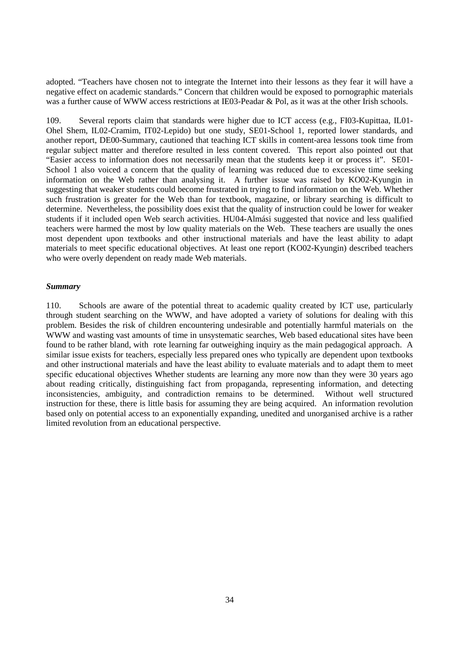adopted. "Teachers have chosen not to integrate the Internet into their lessons as they fear it will have a negative effect on academic standards." Concern that children would be exposed to pornographic materials was a further cause of WWW access restrictions at IE03-Peadar & Pol, as it was at the other Irish schools.

109. Several reports claim that standards were higher due to ICT access (e.g., FI03-Kupittaa, IL01- Ohel Shem, IL02-Cramim, IT02-Lepido) but one study, SE01-School 1, reported lower standards, and another report, DE00-Summary, cautioned that teaching ICT skills in content-area lessons took time from regular subject matter and therefore resulted in less content covered. This report also pointed out that "Easier access to information does not necessarily mean that the students keep it or process it". SE01- School 1 also voiced a concern that the quality of learning was reduced due to excessive time seeking information on the Web rather than analysing it. A further issue was raised by KO02-Kyungin in suggesting that weaker students could become frustrated in trying to find information on the Web. Whether such frustration is greater for the Web than for textbook, magazine, or library searching is difficult to determine. Nevertheless, the possibility does exist that the quality of instruction could be lower for weaker students if it included open Web search activities. HU04-Almási suggested that novice and less qualified teachers were harmed the most by low quality materials on the Web. These teachers are usually the ones most dependent upon textbooks and other instructional materials and have the least ability to adapt materials to meet specific educational objectives. At least one report (KO02-Kyungin) described teachers who were overly dependent on ready made Web materials.

#### *Summary*

110. Schools are aware of the potential threat to academic quality created by ICT use, particularly through student searching on the WWW, and have adopted a variety of solutions for dealing with this problem. Besides the risk of children encountering undesirable and potentially harmful materials on the WWW and wasting vast amounts of time in unsystematic searches, Web based educational sites have been found to be rather bland, with rote learning far outweighing inquiry as the main pedagogical approach. A similar issue exists for teachers, especially less prepared ones who typically are dependent upon textbooks and other instructional materials and have the least ability to evaluate materials and to adapt them to meet specific educational objectives Whether students are learning any more now than they were 30 years ago about reading critically, distinguishing fact from propaganda, representing information, and detecting inconsistencies, ambiguity, and contradiction remains to be determined. Without well structured instruction for these, there is little basis for assuming they are being acquired. An information revolution based only on potential access to an exponentially expanding, unedited and unorganised archive is a rather limited revolution from an educational perspective.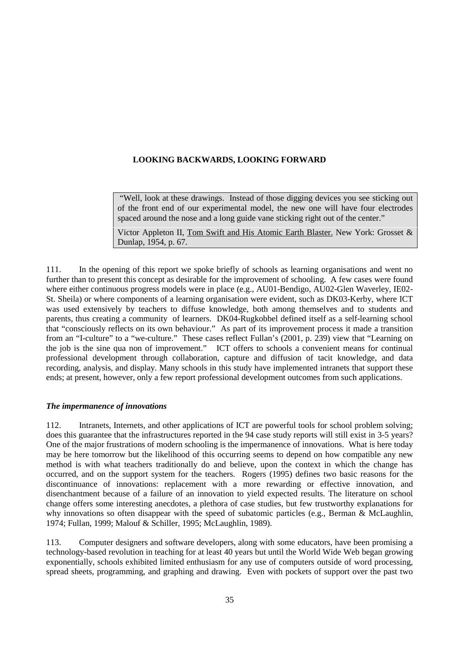#### **LOOKING BACKWARDS, LOOKING FORWARD**

"Well, look at these drawings. Instead of those digging devices you see sticking out of the front end of our experimental model, the new one will have four electrodes spaced around the nose and a long guide vane sticking right out of the center."

Victor Appleton II, Tom Swift and His Atomic Earth Blaster. New York: Grosset & Dunlap, 1954, p. 67.

111. In the opening of this report we spoke briefly of schools as learning organisations and went no further than to present this concept as desirable for the improvement of schooling. A few cases were found where either continuous progress models were in place (e.g., AU01-Bendigo, AU02-Glen Waverley, IE02- St. Sheila) or where components of a learning organisation were evident, such as DK03-Kerby, where ICT was used extensively by teachers to diffuse knowledge, both among themselves and to students and parents, thus creating a community of learners. DK04-Rugkobbel defined itself as a self-learning school that "consciously reflects on its own behaviour." As part of its improvement process it made a transition from an "I-culture" to a "we-culture." These cases reflect Fullan's (2001, p. 239) view that "Learning on the job is the sine qua non of improvement." ICT offers to schools a convenient means for continual professional development through collaboration, capture and diffusion of tacit knowledge, and data recording, analysis, and display. Many schools in this study have implemented intranets that support these ends; at present, however, only a few report professional development outcomes from such applications.

#### *The impermanence of innovations*

112. Intranets, Internets, and other applications of ICT are powerful tools for school problem solving; does this guarantee that the infrastructures reported in the 94 case study reports will still exist in 3-5 years? One of the major frustrations of modern schooling is the impermanence of innovations. What is here today may be here tomorrow but the likelihood of this occurring seems to depend on how compatible any new method is with what teachers traditionally do and believe, upon the context in which the change has occurred, and on the support system for the teachers. Rogers (1995) defines two basic reasons for the discontinuance of innovations: replacement with a more rewarding or effective innovation, and disenchantment because of a failure of an innovation to yield expected results. The literature on school change offers some interesting anecdotes, a plethora of case studies, but few trustworthy explanations for why innovations so often disappear with the speed of subatomic particles (e.g., Berman & McLaughlin, 1974; Fullan, 1999; Malouf & Schiller, 1995; McLaughlin, 1989).

113. Computer designers and software developers, along with some educators, have been promising a technology-based revolution in teaching for at least 40 years but until the World Wide Web began growing exponentially, schools exhibited limited enthusiasm for any use of computers outside of word processing, spread sheets, programming, and graphing and drawing. Even with pockets of support over the past two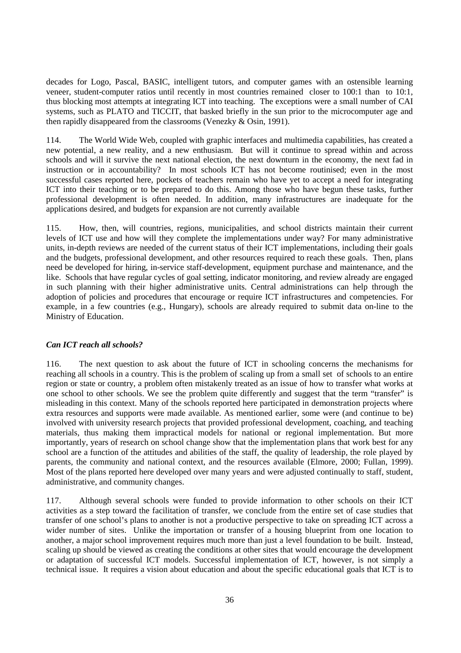decades for Logo, Pascal, BASIC, intelligent tutors, and computer games with an ostensible learning veneer, student-computer ratios until recently in most countries remained closer to 100:1 than to 10:1, thus blocking most attempts at integrating ICT into teaching. The exceptions were a small number of CAI systems, such as PLATO and TICCIT, that basked briefly in the sun prior to the microcomputer age and then rapidly disappeared from the classrooms (Venezky & Osin, 1991).

114. The World Wide Web, coupled with graphic interfaces and multimedia capabilities, has created a new potential, a new reality, and a new enthusiasm. But will it continue to spread within and across schools and will it survive the next national election, the next downturn in the economy, the next fad in instruction or in accountability? In most schools ICT has not become routinised; even in the most successful cases reported here, pockets of teachers remain who have yet to accept a need for integrating ICT into their teaching or to be prepared to do this. Among those who have begun these tasks, further professional development is often needed. In addition, many infrastructures are inadequate for the applications desired, and budgets for expansion are not currently available

115. How, then, will countries, regions, municipalities, and school districts maintain their current levels of ICT use and how will they complete the implementations under way? For many administrative units, in-depth reviews are needed of the current status of their ICT implementations, including their goals and the budgets, professional development, and other resources required to reach these goals. Then, plans need be developed for hiring, in-service staff-development, equipment purchase and maintenance, and the like. Schools that have regular cycles of goal setting, indicator monitoring, and review already are engaged in such planning with their higher administrative units. Central administrations can help through the adoption of policies and procedures that encourage or require ICT infrastructures and competencies. For example, in a few countries (e.g., Hungary), schools are already required to submit data on-line to the Ministry of Education.

#### *Can ICT reach all schools?*

116. The next question to ask about the future of ICT in schooling concerns the mechanisms for reaching all schools in a country. This is the problem of scaling up from a small set of schools to an entire region or state or country, a problem often mistakenly treated as an issue of how to transfer what works at one school to other schools. We see the problem quite differently and suggest that the term "transfer" is misleading in this context. Many of the schools reported here participated in demonstration projects where extra resources and supports were made available. As mentioned earlier, some were (and continue to be) involved with university research projects that provided professional development, coaching, and teaching materials, thus making them impractical models for national or regional implementation. But more importantly, years of research on school change show that the implementation plans that work best for any school are a function of the attitudes and abilities of the staff, the quality of leadership, the role played by parents, the community and national context, and the resources available (Elmore, 2000; Fullan, 1999). Most of the plans reported here developed over many years and were adjusted continually to staff, student, administrative, and community changes.

117. Although several schools were funded to provide information to other schools on their ICT activities as a step toward the facilitation of transfer, we conclude from the entire set of case studies that transfer of one school's plans to another is not a productive perspective to take on spreading ICT across a wider number of sites. Unlike the importation or transfer of a housing blueprint from one location to another, a major school improvement requires much more than just a level foundation to be built. Instead, scaling up should be viewed as creating the conditions at other sites that would encourage the development or adaptation of successful ICT models. Successful implementation of ICT, however, is not simply a technical issue. It requires a vision about education and about the specific educational goals that ICT is to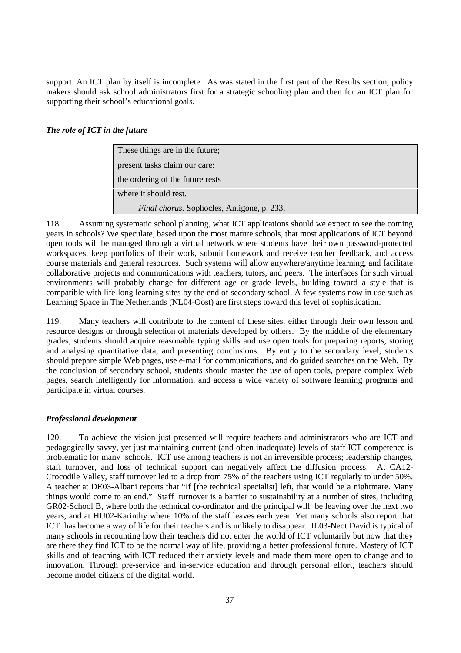support. An ICT plan by itself is incomplete. As was stated in the first part of the Results section, policy makers should ask school administrators first for a strategic schooling plan and then for an ICT plan for supporting their school's educational goals.

#### *The role of ICT in the future*

These things are in the future; present tasks claim our care: the ordering of the future rests where it should rest. *Final chorus.* Sophocles, Antigone, p. 233.

118. Assuming systematic school planning, what ICT applications should we expect to see the coming years in schools? We speculate, based upon the most mature schools, that most applications of ICT beyond open tools will be managed through a virtual network where students have their own password-protected workspaces, keep portfolios of their work, submit homework and receive teacher feedback, and access course materials and general resources. Such systems will allow anywhere/anytime learning, and facilitate collaborative projects and communications with teachers, tutors, and peers. The interfaces for such virtual environments will probably change for different age or grade levels, building toward a style that is compatible with life-long learning sites by the end of secondary school. A few systems now in use such as Learning Space in The Netherlands (NL04-Oost) are first steps toward this level of sophistication.

119. Many teachers will contribute to the content of these sites, either through their own lesson and resource designs or through selection of materials developed by others. By the middle of the elementary grades, students should acquire reasonable typing skills and use open tools for preparing reports, storing and analysing quantitative data, and presenting conclusions. By entry to the secondary level, students should prepare simple Web pages, use e-mail for communications, and do guided searches on the Web. By the conclusion of secondary school, students should master the use of open tools, prepare complex Web pages, search intelligently for information, and access a wide variety of software learning programs and participate in virtual courses.

#### *Professional development*

120. To achieve the vision just presented will require teachers and administrators who are ICT and pedagogically savvy, yet just maintaining current (and often inadequate) levels of staff ICT competence is problematic for many schools. ICT use among teachers is not an irreversible process; leadership changes, staff turnover, and loss of technical support can negatively affect the diffusion process. At CA12- Crocodile Valley, staff turnover led to a drop from 75% of the teachers using ICT regularly to under 50%. A teacher at DE03-Albani reports that "If [the technical specialist] left, that would be a nightmare. Many things would come to an end." Staff turnover is a barrier to sustainability at a number of sites, including GR02-School B, where both the technical co-ordinator and the principal will be leaving over the next two years, and at HU02-Karinthy where 10% of the staff leaves each year. Yet many schools also report that ICT has become a way of life for their teachers and is unlikely to disappear. IL03-Neot David is typical of many schools in recounting how their teachers did not enter the world of ICT voluntarily but now that they are there they find ICT to be the normal way of life, providing a better professional future. Mastery of ICT skills and of teaching with ICT reduced their anxiety levels and made them more open to change and to innovation. Through pre-service and in-service education and through personal effort, teachers should become model citizens of the digital world.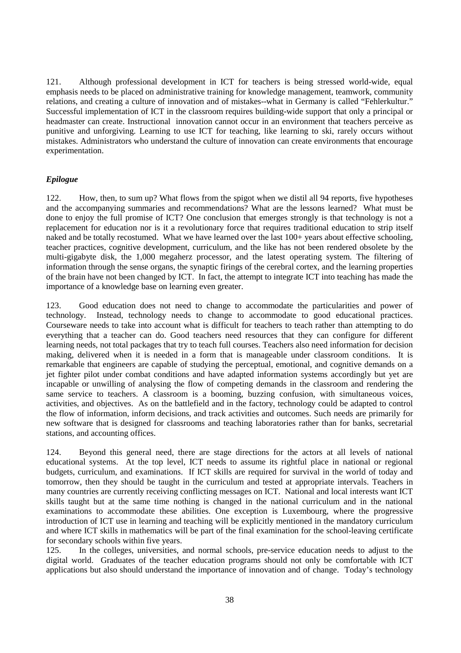121. Although professional development in ICT for teachers is being stressed world-wide, equal emphasis needs to be placed on administrative training for knowledge management, teamwork, community relations, and creating a culture of innovation and of mistakes--what in Germany is called "Fehlerkultur." Successful implementation of ICT in the classroom requires building-wide support that only a principal or headmaster can create. Instructional innovation cannot occur in an environment that teachers perceive as punitive and unforgiving. Learning to use ICT for teaching, like learning to ski, rarely occurs without mistakes. Administrators who understand the culture of innovation can create environments that encourage experimentation.

#### *Epilogue*

122. How, then, to sum up? What flows from the spigot when we distil all 94 reports, five hypotheses and the accompanying summaries and recommendations? What are the lessons learned? What must be done to enjoy the full promise of ICT? One conclusion that emerges strongly is that technology is not a replacement for education nor is it a revolutionary force that requires traditional education to strip itself naked and be totally recostumed. What we have learned over the last 100+ years about effective schooling, teacher practices, cognitive development, curriculum, and the like has not been rendered obsolete by the multi-gigabyte disk, the 1,000 megaherz processor, and the latest operating system. The filtering of information through the sense organs, the synaptic firings of the cerebral cortex, and the learning properties of the brain have not been changed by ICT. In fact, the attempt to integrate ICT into teaching has made the importance of a knowledge base on learning even greater.

123. Good education does not need to change to accommodate the particularities and power of technology. Instead, technology needs to change to accommodate to good educational practices. Courseware needs to take into account what is difficult for teachers to teach rather than attempting to do everything that a teacher can do. Good teachers need resources that they can configure for different learning needs, not total packages that try to teach full courses. Teachers also need information for decision making, delivered when it is needed in a form that is manageable under classroom conditions. It is remarkable that engineers are capable of studying the perceptual, emotional, and cognitive demands on a jet fighter pilot under combat conditions and have adapted information systems accordingly but yet are incapable or unwilling of analysing the flow of competing demands in the classroom and rendering the same service to teachers. A classroom is a booming, buzzing confusion, with simultaneous voices, activities, and objectives. As on the battlefield and in the factory, technology could be adapted to control the flow of information, inform decisions, and track activities and outcomes. Such needs are primarily for new software that is designed for classrooms and teaching laboratories rather than for banks, secretarial stations, and accounting offices.

124. Beyond this general need, there are stage directions for the actors at all levels of national educational systems. At the top level, ICT needs to assume its rightful place in national or regional budgets, curriculum, and examinations. If ICT skills are required for survival in the world of today and tomorrow, then they should be taught in the curriculum and tested at appropriate intervals. Teachers in many countries are currently receiving conflicting messages on ICT. National and local interests want ICT skills taught but at the same time nothing is changed in the national curriculum and in the national examinations to accommodate these abilities. One exception is Luxembourg, where the progressive introduction of ICT use in learning and teaching will be explicitly mentioned in the mandatory curriculum and where ICT skills in mathematics will be part of the final examination for the school-leaving certificate for secondary schools within five years.

125. In the colleges, universities, and normal schools, pre-service education needs to adjust to the digital world. Graduates of the teacher education programs should not only be comfortable with ICT applications but also should understand the importance of innovation and of change. Today's technology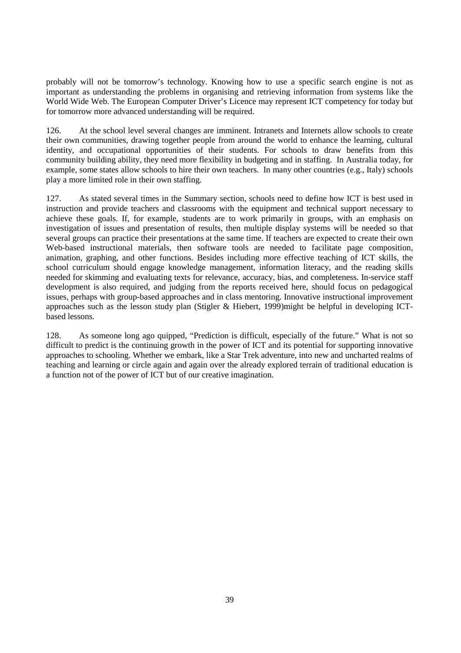probably will not be tomorrow's technology. Knowing how to use a specific search engine is not as important as understanding the problems in organising and retrieving information from systems like the World Wide Web. The European Computer Driver's Licence may represent ICT competency for today but for tomorrow more advanced understanding will be required.

126. At the school level several changes are imminent. Intranets and Internets allow schools to create their own communities, drawing together people from around the world to enhance the learning, cultural identity, and occupational opportunities of their students. For schools to draw benefits from this community building ability, they need more flexibility in budgeting and in staffing. In Australia today, for example, some states allow schools to hire their own teachers. In many other countries (e.g., Italy) schools play a more limited role in their own staffing.

127. As stated several times in the Summary section, schools need to define how ICT is best used in instruction and provide teachers and classrooms with the equipment and technical support necessary to achieve these goals. If, for example, students are to work primarily in groups, with an emphasis on investigation of issues and presentation of results, then multiple display systems will be needed so that several groups can practice their presentations at the same time. If teachers are expected to create their own Web-based instructional materials, then software tools are needed to facilitate page composition, animation, graphing, and other functions. Besides including more effective teaching of ICT skills, the school curriculum should engage knowledge management, information literacy, and the reading skills needed for skimming and evaluating texts for relevance, accuracy, bias, and completeness. In-service staff development is also required, and judging from the reports received here, should focus on pedagogical issues, perhaps with group-based approaches and in class mentoring. Innovative instructional improvement approaches such as the lesson study plan (Stigler & Hiebert, 1999)might be helpful in developing ICTbased lessons.

128. As someone long ago quipped, "Prediction is difficult, especially of the future." What is not so difficult to predict is the continuing growth in the power of ICT and its potential for supporting innovative approaches to schooling. Whether we embark, like a Star Trek adventure, into new and uncharted realms of teaching and learning or circle again and again over the already explored terrain of traditional education is a function not of the power of ICT but of our creative imagination.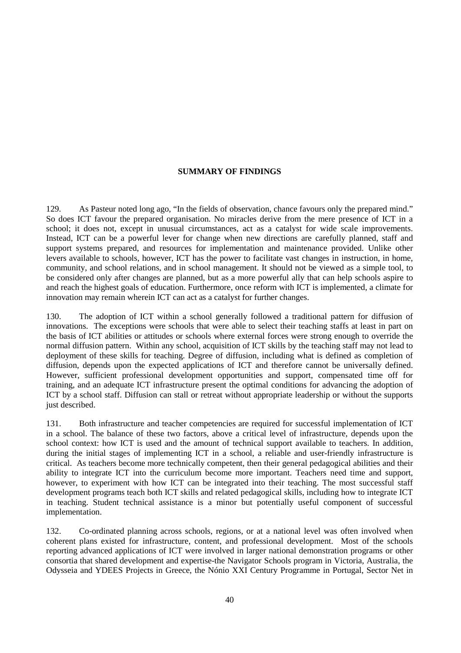#### **SUMMARY OF FINDINGS**

129. As Pasteur noted long ago, "In the fields of observation, chance favours only the prepared mind." So does ICT favour the prepared organisation. No miracles derive from the mere presence of ICT in a school; it does not, except in unusual circumstances, act as a catalyst for wide scale improvements. Instead, ICT can be a powerful lever for change when new directions are carefully planned, staff and support systems prepared, and resources for implementation and maintenance provided. Unlike other levers available to schools, however, ICT has the power to facilitate vast changes in instruction, in home, community, and school relations, and in school management. It should not be viewed as a simple tool, to be considered only after changes are planned, but as a more powerful ally that can help schools aspire to and reach the highest goals of education. Furthermore, once reform with ICT is implemented, a climate for innovation may remain wherein ICT can act as a catalyst for further changes.

130. The adoption of ICT within a school generally followed a traditional pattern for diffusion of innovations. The exceptions were schools that were able to select their teaching staffs at least in part on the basis of ICT abilities or attitudes or schools where external forces were strong enough to override the normal diffusion pattern. Within any school, acquisition of ICT skills by the teaching staff may not lead to deployment of these skills for teaching. Degree of diffusion, including what is defined as completion of diffusion, depends upon the expected applications of ICT and therefore cannot be universally defined. However, sufficient professional development opportunities and support, compensated time off for training, and an adequate ICT infrastructure present the optimal conditions for advancing the adoption of ICT by a school staff. Diffusion can stall or retreat without appropriate leadership or without the supports just described.

131. Both infrastructure and teacher competencies are required for successful implementation of ICT in a school. The balance of these two factors, above a critical level of infrastructure, depends upon the school context: how ICT is used and the amount of technical support available to teachers. In addition, during the initial stages of implementing ICT in a school, a reliable and user-friendly infrastructure is critical. As teachers become more technically competent, then their general pedagogical abilities and their ability to integrate ICT into the curriculum become more important. Teachers need time and support, however, to experiment with how ICT can be integrated into their teaching. The most successful staff development programs teach both ICT skills and related pedagogical skills, including how to integrate ICT in teaching. Student technical assistance is a minor but potentially useful component of successful implementation.

132. Co-ordinated planning across schools, regions, or at a national level was often involved when coherent plans existed for infrastructure, content, and professional development. Most of the schools reporting advanced applications of ICT were involved in larger national demonstration programs or other consortia that shared development and expertise-the Navigator Schools program in Victoria, Australia, the Odysseia and YDEES Projects in Greece, the Nónio XXI Century Programme in Portugal, Sector Net in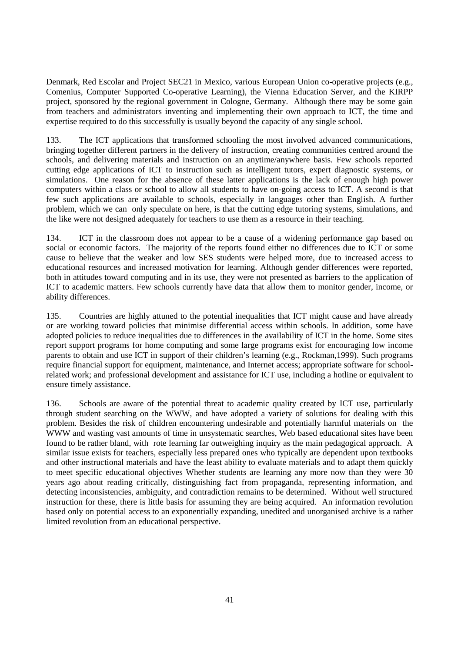Denmark, Red Escolar and Project SEC21 in Mexico, various European Union co-operative projects (e.g., Comenius, Computer Supported Co-operative Learning), the Vienna Education Server, and the KIRPP project, sponsored by the regional government in Cologne, Germany. Although there may be some gain from teachers and administrators inventing and implementing their own approach to ICT, the time and expertise required to do this successfully is usually beyond the capacity of any single school.

133. The ICT applications that transformed schooling the most involved advanced communications, bringing together different partners in the delivery of instruction, creating communities centred around the schools, and delivering materials and instruction on an anytime/anywhere basis. Few schools reported cutting edge applications of ICT to instruction such as intelligent tutors, expert diagnostic systems, or simulations. One reason for the absence of these latter applications is the lack of enough high power computers within a class or school to allow all students to have on-going access to ICT. A second is that few such applications are available to schools, especially in languages other than English. A further problem, which we can only speculate on here, is that the cutting edge tutoring systems, simulations, and the like were not designed adequately for teachers to use them as a resource in their teaching.

134. ICT in the classroom does not appear to be a cause of a widening performance gap based on social or economic factors. The majority of the reports found either no differences due to ICT or some cause to believe that the weaker and low SES students were helped more, due to increased access to educational resources and increased motivation for learning. Although gender differences were reported, both in attitudes toward computing and in its use, they were not presented as barriers to the application of ICT to academic matters. Few schools currently have data that allow them to monitor gender, income, or ability differences.

135. Countries are highly attuned to the potential inequalities that ICT might cause and have already or are working toward policies that minimise differential access within schools. In addition, some have adopted policies to reduce inequalities due to differences in the availability of ICT in the home. Some sites report support programs for home computing and some large programs exist for encouraging low income parents to obtain and use ICT in support of their children's learning (e.g., Rockman,1999). Such programs require financial support for equipment, maintenance, and Internet access; appropriate software for schoolrelated work; and professional development and assistance for ICT use, including a hotline or equivalent to ensure timely assistance.

136. Schools are aware of the potential threat to academic quality created by ICT use, particularly through student searching on the WWW, and have adopted a variety of solutions for dealing with this problem. Besides the risk of children encountering undesirable and potentially harmful materials on the WWW and wasting vast amounts of time in unsystematic searches, Web based educational sites have been found to be rather bland, with rote learning far outweighing inquiry as the main pedagogical approach. A similar issue exists for teachers, especially less prepared ones who typically are dependent upon textbooks and other instructional materials and have the least ability to evaluate materials and to adapt them quickly to meet specific educational objectives Whether students are learning any more now than they were 30 years ago about reading critically, distinguishing fact from propaganda, representing information, and detecting inconsistencies, ambiguity, and contradiction remains to be determined. Without well structured instruction for these, there is little basis for assuming they are being acquired. An information revolution based only on potential access to an exponentially expanding, unedited and unorganised archive is a rather limited revolution from an educational perspective.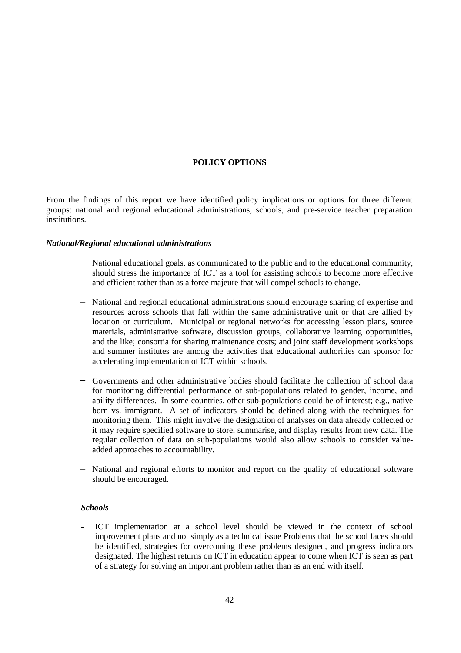#### **POLICY OPTIONS**

From the findings of this report we have identified policy implications or options for three different groups: national and regional educational administrations, schools, and pre-service teacher preparation institutions.

#### *National/Regional educational administrations*

- − National educational goals, as communicated to the public and to the educational community, should stress the importance of ICT as a tool for assisting schools to become more effective and efficient rather than as a force majeure that will compel schools to change.
- − National and regional educational administrations should encourage sharing of expertise and resources across schools that fall within the same administrative unit or that are allied by location or curriculum. Municipal or regional networks for accessing lesson plans, source materials, administrative software, discussion groups, collaborative learning opportunities, and the like; consortia for sharing maintenance costs; and joint staff development workshops and summer institutes are among the activities that educational authorities can sponsor for accelerating implementation of ICT within schools.
- − Governments and other administrative bodies should facilitate the collection of school data for monitoring differential performance of sub-populations related to gender, income, and ability differences. In some countries, other sub-populations could be of interest; e.g., native born vs. immigrant. A set of indicators should be defined along with the techniques for monitoring them. This might involve the designation of analyses on data already collected or it may require specified software to store, summarise, and display results from new data. The regular collection of data on sub-populations would also allow schools to consider valueadded approaches to accountability.
- National and regional efforts to monitor and report on the quality of educational software should be encouraged.

#### *Schools*

ICT implementation at a school level should be viewed in the context of school improvement plans and not simply as a technical issue Problems that the school faces should be identified, strategies for overcoming these problems designed, and progress indicators designated. The highest returns on ICT in education appear to come when ICT is seen as part of a strategy for solving an important problem rather than as an end with itself.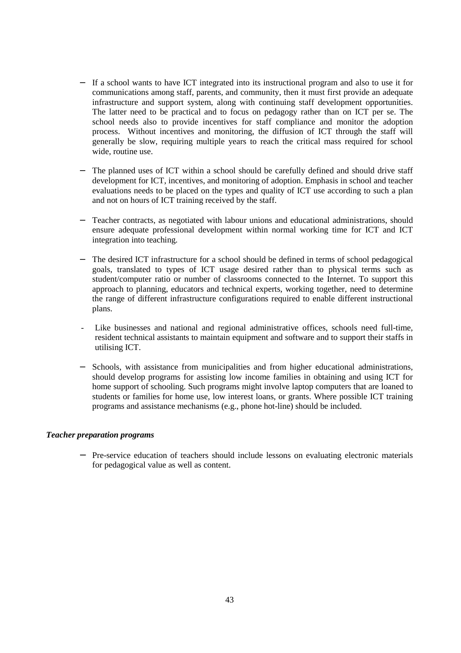- − If a school wants to have ICT integrated into its instructional program and also to use it for communications among staff, parents, and community, then it must first provide an adequate infrastructure and support system, along with continuing staff development opportunities. The latter need to be practical and to focus on pedagogy rather than on ICT per se. The school needs also to provide incentives for staff compliance and monitor the adoption process. Without incentives and monitoring, the diffusion of ICT through the staff will generally be slow, requiring multiple years to reach the critical mass required for school wide, routine use.
- The planned uses of ICT within a school should be carefully defined and should drive staff development for ICT, incentives, and monitoring of adoption. Emphasis in school and teacher evaluations needs to be placed on the types and quality of ICT use according to such a plan and not on hours of ICT training received by the staff.
- Teacher contracts, as negotiated with labour unions and educational administrations, should ensure adequate professional development within normal working time for ICT and ICT integration into teaching.
- The desired ICT infrastructure for a school should be defined in terms of school pedagogical goals, translated to types of ICT usage desired rather than to physical terms such as student/computer ratio or number of classrooms connected to the Internet. To support this approach to planning, educators and technical experts, working together, need to determine the range of different infrastructure configurations required to enable different instructional plans.
- Like businesses and national and regional administrative offices, schools need full-time, resident technical assistants to maintain equipment and software and to support their staffs in utilising ICT.
- Schools, with assistance from municipalities and from higher educational administrations, should develop programs for assisting low income families in obtaining and using ICT for home support of schooling. Such programs might involve laptop computers that are loaned to students or families for home use, low interest loans, or grants. Where possible ICT training programs and assistance mechanisms (e.g., phone hot-line) should be included.

#### *Teacher preparation programs*

− Pre-service education of teachers should include lessons on evaluating electronic materials for pedagogical value as well as content.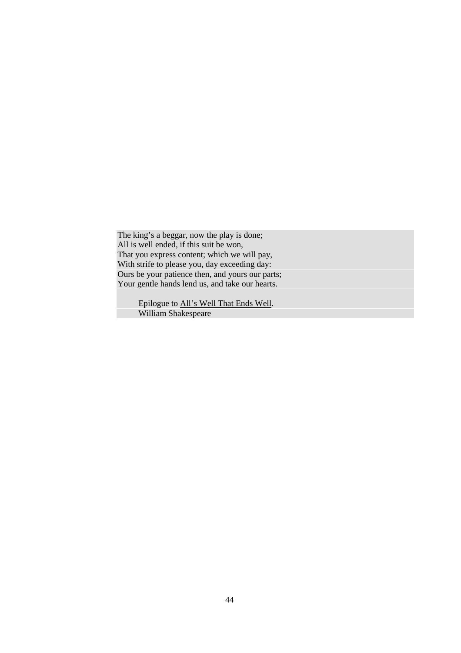The king's a beggar, now the play is done; All is well ended, if this suit be won, That you express content; which we will pay, With strife to please you, day exceeding day: Ours be your patience then, and yours our parts; Your gentle hands lend us, and take our hearts.

> Epilogue to All's Well That Ends Well. William Shakespeare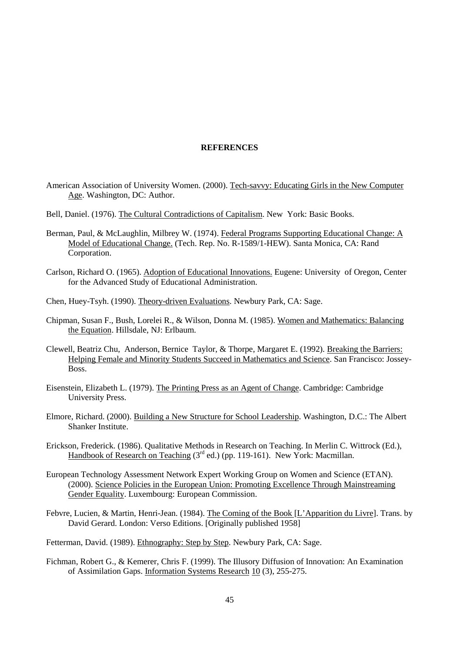#### **REFERENCES**

- American Association of University Women. (2000). Tech-savvy: Educating Girls in the New Computer Age. Washington, DC: Author.
- Bell, Daniel. (1976). The Cultural Contradictions of Capitalism. New York: Basic Books.
- Berman, Paul, & McLaughlin, Milbrey W. (1974). Federal Programs Supporting Educational Change: A Model of Educational Change. (Tech. Rep. No. R-1589/1-HEW). Santa Monica, CA: Rand Corporation.
- Carlson, Richard O. (1965). Adoption of Educational Innovations. Eugene: University of Oregon, Center for the Advanced Study of Educational Administration.
- Chen, Huey-Tsyh. (1990). Theory-driven Evaluations. Newbury Park, CA: Sage.
- Chipman, Susan F., Bush, Lorelei R., & Wilson, Donna M. (1985). Women and Mathematics: Balancing the Equation. Hillsdale, NJ: Erlbaum.
- Clewell, Beatriz Chu, Anderson, Bernice Taylor, & Thorpe, Margaret E. (1992). Breaking the Barriers: Helping Female and Minority Students Succeed in Mathematics and Science. San Francisco: Jossey-Boss.
- Eisenstein, Elizabeth L. (1979). The Printing Press as an Agent of Change. Cambridge: Cambridge University Press.
- Elmore, Richard. (2000). Building a New Structure for School Leadership. Washington, D.C.: The Albert Shanker Institute.
- Erickson, Frederick. (1986). Qualitative Methods in Research on Teaching. In Merlin C. Wittrock (Ed.), Handbook of Research on Teaching  $(3^{rd}$  ed.) (pp. 119-161). New York: Macmillan.
- European Technology Assessment Network Expert Working Group on Women and Science (ETAN). (2000). Science Policies in the European Union: Promoting Excellence Through Mainstreaming Gender Equality. Luxembourg: European Commission.
- Febvre, Lucien, & Martin, Henri-Jean. (1984). The Coming of the Book [L'Apparition du Livre]. Trans. by David Gerard. London: Verso Editions. [Originally published 1958]

Fetterman, David. (1989). Ethnography: Step by Step. Newbury Park, CA: Sage.

Fichman, Robert G., & Kemerer, Chris F. (1999). The Illusory Diffusion of Innovation: An Examination of Assimilation Gaps. Information Systems Research 10 (3), 255-275.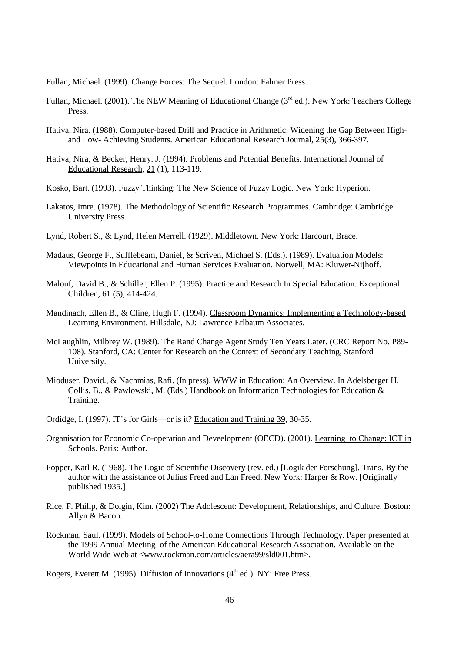Fullan, Michael. (1999). Change Forces: The Sequel. London: Falmer Press.

- Fullan, Michael. (2001). The NEW Meaning of Educational Change ( $3<sup>rd</sup>$  ed.). New York: Teachers College Press.
- Hativa, Nira. (1988). Computer-based Drill and Practice in Arithmetic: Widening the Gap Between Highand Low- Achieving Students. American Educational Research Journal, 25(3), 366-397.
- Hativa, Nira, & Becker, Henry. J. (1994). Problems and Potential Benefits. International Journal of Educational Research, 21 (1), 113-119.
- Kosko, Bart. (1993). Fuzzy Thinking: The New Science of Fuzzy Logic. New York: Hyperion.
- Lakatos, Imre. (1978). The Methodology of Scientific Research Programmes. Cambridge: Cambridge University Press.
- Lynd, Robert S., & Lynd, Helen Merrell. (1929). Middletown. New York: Harcourt, Brace.
- Madaus, George F., Sufflebeam, Daniel, & Scriven, Michael S. (Eds.). (1989). Evaluation Models: Viewpoints in Educational and Human Services Evaluation. Norwell, MA: Kluwer-Nijhoff.
- Malouf, David B., & Schiller, Ellen P. (1995). Practice and Research In Special Education. Exceptional Children, 61 (5), 414-424.
- Mandinach, Ellen B., & Cline, Hugh F. (1994). Classroom Dynamics: Implementing a Technology-based Learning Environment. Hillsdale, NJ: Lawrence Erlbaum Associates.
- McLaughlin, Milbrey W. (1989). The Rand Change Agent Study Ten Years Later. (CRC Report No. P89- 108). Stanford, CA: Center for Research on the Context of Secondary Teaching, Stanford University.
- Mioduser, David., & Nachmias, Rafi. (In press). WWW in Education: An Overview. In Adelsberger H, Collis, B., & Pawlowski, M. (Eds.) Handbook on Information Technologies for Education & Training.
- Ordidge, I. (1997). IT's for Girls—or is it? Education and Training 39, 30-35.
- Organisation for Economic Co-operation and Deveelopment (OECD). (2001). Learning to Change: ICT in Schools. Paris: Author.
- Popper, Karl R. (1968). The Logic of Scientific Discovery (rev. ed.) [Logik der Forschung]. Trans. By the author with the assistance of Julius Freed and Lan Freed. New York: Harper & Row. [Originally published 1935.]
- Rice, F. Philip, & Dolgin, Kim. (2002) The Adolescent: Development, Relationships, and Culture. Boston: Allyn & Bacon.
- Rockman, Saul. (1999). Models of School-to-Home Connections Through Technology. Paper presented at the 1999 Annual Meeting of the American Educational Research Association. Available on the World Wide Web at <www.rockman.com/articles/aera99/sld001.htm>.

Rogers, Everett M. (1995). Diffusion of Innovations  $(4<sup>th</sup>$  ed.). NY: Free Press.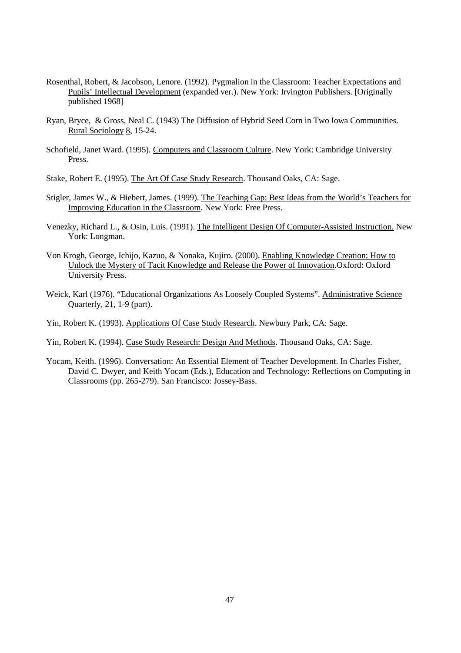- Rosenthal, Robert, & Jacobson, Lenore. (1992). Pygmalion in the Classroom: Teacher Expectations and Pupils' Intellectual Development (expanded ver.). New York: Irvington Publishers. [Originally published 1968]
- Ryan, Bryce, & Gross, Neal C. (1943) The Diffusion of Hybrid Seed Corn in Two Iowa Communities. Rural Sociology 8, 15-24.
- Schofield, Janet Ward. (1995). Computers and Classroom Culture. New York: Cambridge University Press.
- Stake, Robert E. (1995). The Art Of Case Study Research. Thousand Oaks, CA: Sage.
- Stigler, James W., & Hiebert, James. (1999). The Teaching Gap: Best Ideas from the World's Teachers for Improving Education in the Classroom. New York: Free Press.
- Venezky, Richard L., & Osin, Luis. (1991). The Intelligent Design Of Computer-Assisted Instruction. New York: Longman.
- Von Krogh, George, Ichijo, Kazuo, & Nonaka, Kujiro. (2000). Enabling Knowledge Creation: How to Unlock the Mystery of Tacit Knowledge and Release the Power of Innovation.Oxford: Oxford University Press.
- Weick, Karl (1976). "Educational Organizations As Loosely Coupled Systems". Administrative Science Quarterly, 21, 1-9 (part).
- Yin, Robert K. (1993). Applications Of Case Study Research. Newbury Park, CA: Sage.
- Yin, Robert K. (1994). Case Study Research: Design And Methods. Thousand Oaks, CA: Sage.
- Yocam, Keith. (1996). Conversation: An Essential Element of Teacher Development. In Charles Fisher, David C. Dwyer, and Keith Yocam (Eds.), Education and Technology: Reflections on Computing in Classrooms (pp. 265-279). San Francisco: Jossey-Bass.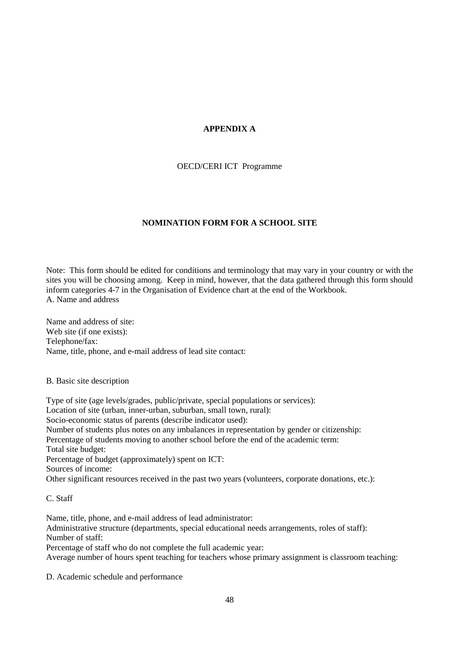## **APPENDIX A**

OECD/CERI ICT Programme

## **NOMINATION FORM FOR A SCHOOL SITE**

Note: This form should be edited for conditions and terminology that may vary in your country or with the sites you will be choosing among. Keep in mind, however, that the data gathered through this form should inform categories 4-7 in the Organisation of Evidence chart at the end of the Workbook. A. Name and address

Name and address of site: Web site (if one exists): Telephone/fax: Name, title, phone, and e-mail address of lead site contact:

B. Basic site description

Type of site (age levels/grades, public/private, special populations or services): Location of site (urban, inner-urban, suburban, small town, rural): Socio-economic status of parents (describe indicator used): Number of students plus notes on any imbalances in representation by gender or citizenship: Percentage of students moving to another school before the end of the academic term: Total site budget: Percentage of budget (approximately) spent on ICT: Sources of income: Other significant resources received in the past two years (volunteers, corporate donations, etc.):

C. Staff

Name, title, phone, and e-mail address of lead administrator: Administrative structure (departments, special educational needs arrangements, roles of staff): Number of staff:

Percentage of staff who do not complete the full academic year:

Average number of hours spent teaching for teachers whose primary assignment is classroom teaching:

D. Academic schedule and performance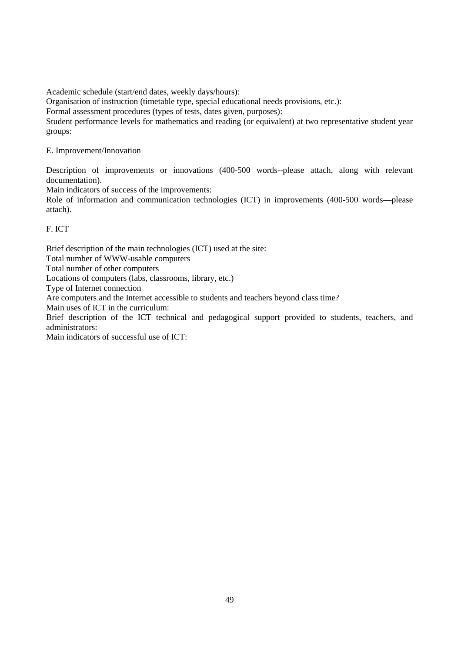Academic schedule (start/end dates, weekly days/hours):

Organisation of instruction (timetable type, special educational needs provisions, etc.):

Formal assessment procedures (types of tests, dates given, purposes):

Student performance levels for mathematics and reading (or equivalent) at two representative student year groups:

E. Improvement/Innovation

Description of improvements or innovations (400-500 words--please attach, along with relevant documentation).

Main indicators of success of the improvements:

Role of information and communication technologies (ICT) in improvements (400-500 words—please attach).

F. ICT

Brief description of the main technologies (ICT) used at the site:

Total number of WWW-usable computers

Total number of other computers

Locations of computers (labs, classrooms, library, etc.)

Type of Internet connection

Are computers and the Internet accessible to students and teachers beyond class time?

Main uses of ICT in the curriculum:

Brief description of the ICT technical and pedagogical support provided to students, teachers, and administrators:

Main indicators of successful use of ICT: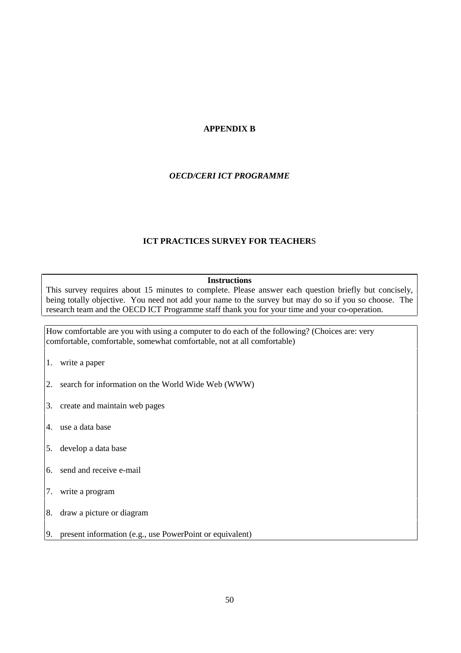## **APPENDIX B**

## *OECD/CERI ICT PROGRAMME*

## **ICT PRACTICES SURVEY FOR TEACHER**S

#### **Instructions**

This survey requires about 15 minutes to complete. Please answer each question briefly but concisely, being totally objective. You need not add your name to the survey but may do so if you so choose. The research team and the OECD ICT Programme staff thank you for your time and your co-operation.

How comfortable are you with using a computer to do each of the following? (Choices are: very comfortable, comfortable, somewhat comfortable, not at all comfortable)

- 1. write a paper
- 2. search for information on the World Wide Web (WWW)
- 3. create and maintain web pages
- 4. use a data base
- 5. develop a data base
- 6. send and receive e-mail
- 7. write a program
- 8. draw a picture or diagram
- 9. present information (e.g., use PowerPoint or equivalent)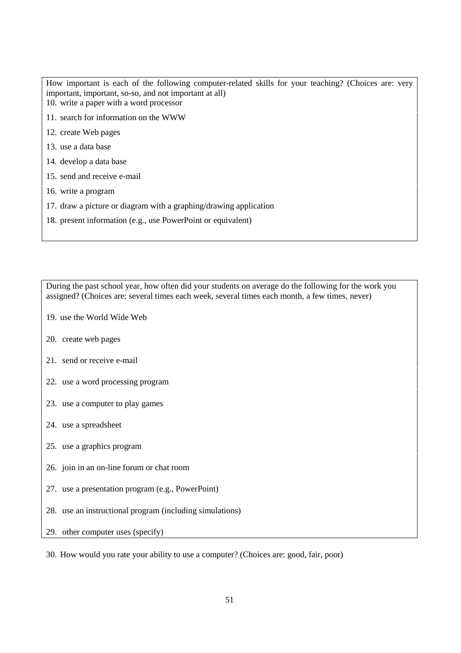How important is each of the following computer-related skills for your teaching? (Choices are: very important, important, so-so, and not important at all)

- 10. write a paper with a word processor
- 11. search for information on the WWW
- 12. create Web pages
- 13. use a data base
- 14. develop a data base
- 15. send and receive e-mail
- 16. write a program
- 17. draw a picture or diagram with a graphing/drawing application
- 18. present information (e.g., use PowerPoint or equivalent)

During the past school year, how often did your students on average do the following for the work you assigned? (Choices are: several times each week, several times each month, a few times, never)

- 19. use the World Wide Web
- 20. create web pages
- 21. send or receive e-mail
- 22. use a word processing program
- 23. use a computer to play games
- 24. use a spreadsheet
- 25. use a graphics program
- 26. join in an on-line forum or chat room
- 27. use a presentation program (e.g., PowerPoint)
- 28. use an instructional program (including simulations)
- 29. other computer uses (specify)

30. How would you rate your ability to use a computer? (Choices are: good, fair, poor)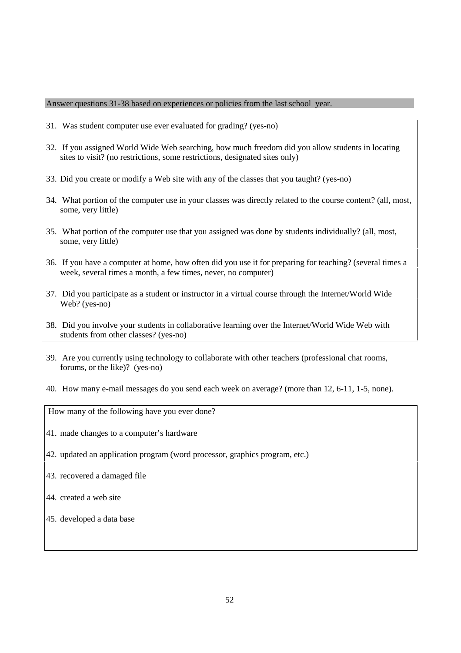Answer questions 31-38 based on experiences or policies from the last school year.

- 31. Was student computer use ever evaluated for grading? (yes-no)
- 32. If you assigned World Wide Web searching, how much freedom did you allow students in locating sites to visit? (no restrictions, some restrictions, designated sites only)
- 33. Did you create or modify a Web site with any of the classes that you taught? (yes-no)
- 34. What portion of the computer use in your classes was directly related to the course content? (all, most, some, very little)
- 35. What portion of the computer use that you assigned was done by students individually? (all, most, some, very little)
- 36. If you have a computer at home, how often did you use it for preparing for teaching? (several times a week, several times a month, a few times, never, no computer)
- 37. Did you participate as a student or instructor in a virtual course through the Internet/World Wide Web? (yes-no)
- 38. Did you involve your students in collaborative learning over the Internet/World Wide Web with students from other classes? (yes-no)
- 39. Are you currently using technology to collaborate with other teachers (professional chat rooms, forums, or the like)? (yes-no)
- 40. How many e-mail messages do you send each week on average? (more than 12, 6-11, 1-5, none).

How many of the following have you ever done?

- 41. made changes to a computer's hardware
- 42. updated an application program (word processor, graphics program, etc.)
- 43. recovered a damaged file
- 44. created a web site
- 45. developed a data base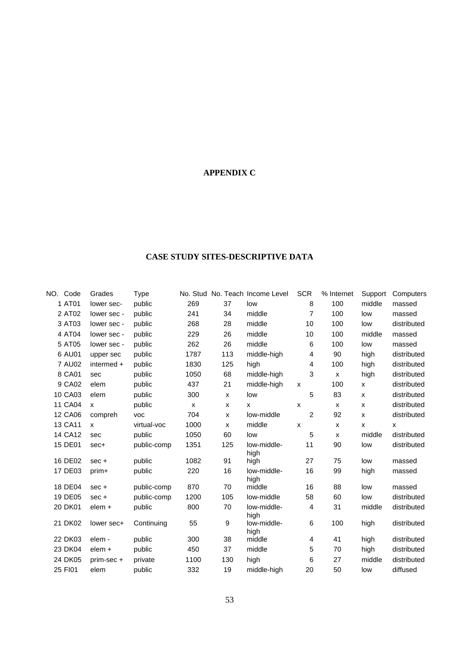## **APPENDIX C**

## **CASE STUDY SITES-DESCRIPTIVE DATA**

| NO.<br>Code | Grades       | Type        |              |                           | No. Stud No. Teach Income Level | <b>SCR</b>     | % Internet | Support        | Computers   |
|-------------|--------------|-------------|--------------|---------------------------|---------------------------------|----------------|------------|----------------|-------------|
| 1 AT01      | lower sec-   | public      | 269          | 37                        | low                             | 8              | 100        | middle         | massed      |
| 2 AT02      | lower sec -  | public      | 241          | 34                        | middle                          | $\overline{7}$ | 100        | low            | massed      |
| 3 AT03      | lower sec -  | public      | 268          | 28                        | middle                          | 10             | 100        | low            | distributed |
| 4 AT04      | lower sec -  | public      | 229          | 26                        | middle                          | 10             | 100        | middle         | massed      |
| 5 AT05      | lower sec -  | public      | 262          | 26                        | middle                          | 6              | 100        | low            | massed      |
| 6 AU01      | upper sec    | public      | 1787         | 113                       | middle-high                     | 4              | 90         | high           | distributed |
| 7 AU02      | intermed +   | public      | 1830         | 125                       | high                            | 4              | 100        | high           | distributed |
| 8 CA01      | sec          | public      | 1050         | 68                        | middle-high                     | 3              | X          | high           | distributed |
| 9 CA02      | elem         | public      | 437          | 21                        | middle-high                     | X              | 100        | X              | distributed |
| 10 CA03     | elem         | public      | 300          | $\pmb{\times}$            | low                             | 5              | 83         | $\pmb{\times}$ | distributed |
| 11 CA04     | x            | public      | $\mathsf{x}$ | X                         | X                               | X              | x          | X              | distributed |
| 12 CA06     | compreh      | <b>VOC</b>  | 704          | $\boldsymbol{\mathsf{x}}$ | low-middle                      | $\overline{2}$ | 92         | $\mathsf{x}$   | distributed |
| 13 CA11     | $\mathsf{x}$ | virtual-voc | 1000         | X                         | middle                          | X              | x          | X              | X           |
| 14 CA12     | sec          | public      | 1050         | 60                        | low                             | 5              | X          | middle         | distributed |
| 15 DE01     | sec+         | public-comp | 1351         | 125                       | low-middle-<br>high             | 11             | 90         | low            | distributed |
| 16 DE02     | $sec +$      | public      | 1082         | 91                        | high                            | 27             | 75         | low            | massed      |
| 17 DE03     | prim+        | public      | 220          | 16                        | low-middle-<br>high             | 16             | 99         | high           | massed      |
| 18 DE04     | $sec +$      | public-comp | 870          | 70                        | middle                          | 16             | 88         | low            | massed      |
| 19 DE05     | $sec +$      | public-comp | 1200         | 105                       | low-middle                      | 58             | 60         | low            | distributed |
| 20 DK01     | elem +       | public      | 800          | 70                        | low-middle-<br>high             | 4              | 31         | middle         | distributed |
| 21 DK02     | lower sec+   | Continuing  | 55           | 9                         | low-middle-<br>high             | 6              | 100        | high           | distributed |
| 22 DK03     | elem -       | public      | 300          | 38                        | middle                          | 4              | 41         | high           | distributed |
| 23 DK04     | elem +       | public      | 450          | 37                        | middle                          | 5              | 70         | high           | distributed |
| 24 DK05     | prim-sec +   | private     | 1100         | 130                       | high                            | 6              | 27         | middle         | distributed |
| 25 FI01     | elem         | public      | 332          | 19                        | middle-high                     | 20             | 50         | low            | diffused    |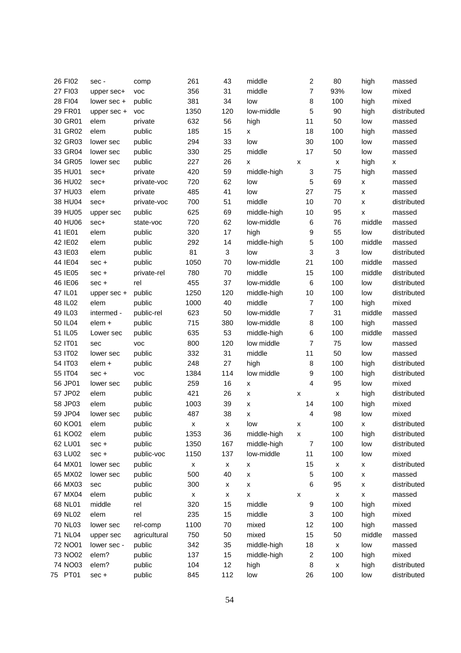| 26 FI02 | sec -                  | comp         | 261                       | 43                 | middle             | $\overline{c}$          | 80                 | high               | massed      |
|---------|------------------------|--------------|---------------------------|--------------------|--------------------|-------------------------|--------------------|--------------------|-------------|
| 27 FI03 | upper sec+             | <b>VOC</b>   | 356                       | 31                 | middle             | $\overline{7}$          | 93%                | low                | mixed       |
| 28 FI04 | lower sec +            | public       | 381                       | 34                 | low                | 8                       | 100                | high               | mixed       |
| 29 FR01 | upper sec +            | <b>VOC</b>   | 1350                      | 120                | low-middle         | 5                       | 90                 | high               | distributed |
| 30 GR01 | elem                   | private      | 632                       | 56                 | high               | 11                      | 50                 | low                | massed      |
| 31 GR02 | elem                   | public       | 185                       | 15                 | x                  | 18                      | 100                | high               | massed      |
| 32 GR03 | lower sec              | public       | 294                       | 33                 | low                | 30                      | 100                | low                | massed      |
| 33 GR04 | lower sec              | public       | 330                       | 25                 | middle             | 17                      | 50                 | low                | massed      |
| 34 GR05 | lower sec              | public       | 227                       | 26                 | x                  | X                       | х                  | high               | x           |
| 35 HU01 | sec+                   | private      | 420                       | 59                 | middle-high        | 3                       | 75                 | high               | massed      |
| 36 HU02 | sec+                   | private-voc  | 720                       | 62                 | low                | 5                       | 69                 | x                  | massed      |
| 37 HU03 | elem                   | private      | 485                       | 41                 | low                | 27                      | 75                 | X                  | massed      |
| 38 HU04 | sec+                   | private-voc  | 700                       | 51                 | middle             | 10                      | 70                 | x                  | distributed |
| 39 HU05 | upper sec              | public       | 625                       | 69                 | middle-high        | 10                      | 95                 | X                  | massed      |
| 40 HU06 | sec+                   | state-voc    | 720                       | 62                 | low-middle         | $\,6$                   | 76                 | middle             | massed      |
| 41 IE01 | elem                   | public       | 320                       | 17                 | high               | 9                       | 55                 | low                | distributed |
| 42 IE02 | elem                   | public       | 292                       | 14                 | middle-high        | 5                       | 100                | middle             | massed      |
| 43 IE03 | elem                   | public       | 81                        | $\mathbf 3$        | low                | 3                       | 3                  | low                | distributed |
| 44 IE04 | sec +                  | public       | 1050                      | 70                 | low-middle         | 21                      | 100                | middle             | massed      |
| 45 IE05 | sec +                  | private-rel  | 780                       | 70                 | middle             | 15                      | 100                | middle             | distributed |
| 46 IE06 | $sec +$                | rel          | 455                       | 37                 | low-middle         | 6                       | 100                | low                | distributed |
| 47 IL01 | upper sec +            | public       | 1250                      | 120                | middle-high        | 10                      | 100                | low                | distributed |
| 48 IL02 | elem                   | public       | 1000                      | 40                 | middle             | $\overline{7}$          | 100                | high               | mixed       |
| 49 IL03 | intermed -             | public-rel   | 623                       | 50                 | low-middle         | 7                       | 31                 | middle             | massed      |
| 50 IL04 | elem +                 | public       | 715                       | 380                | low-middle         | 8                       | 100                | high               | massed      |
| 51 IL05 | Lower sec              | public       | 635                       | 53                 | middle-high        | 6                       | 100                | middle             | massed      |
| 52 IT01 | sec                    | <b>VOC</b>   | 800                       | 120                | low middle         | $\overline{7}$          | 75                 | low                | massed      |
| 53 IT02 | lower sec              | public       | 332                       | 31                 | middle             | 11                      | 50                 | low                | massed      |
| 54 IT03 | elem +                 | public       | 248                       | 27                 | high               | 8                       | 100                | high               | distributed |
| 55 IT04 | sec +                  | <b>VOC</b>   | 1384                      | 114                | low middle         | 9                       | 100                | high               | distributed |
| 56 JP01 | lower sec              | public       | 259                       | 16                 | x                  | 4                       | 95                 | low                | mixed       |
| 57 JP02 | elem                   | public       | 421                       | 26                 | $\pmb{\mathsf{x}}$ | x                       | $\pmb{\mathsf{x}}$ | high               | distributed |
| 58 JP03 | elem                   | public       | 1003                      | 39                 | x                  | 14                      | 100                | high               | mixed       |
| 59 JP04 | lower sec              | public       | 487                       | 38                 | x                  | $\overline{4}$          | 98                 | low                | mixed       |
| 60 KO01 | elem                   | public       | x                         | X                  | low                | x                       | 100                | <b>X</b>           | distributed |
| 61 KO02 | elem                   | public       | 1353                      | 36                 | middle-high        | X                       | 100                | high               | distributed |
| 62 LU01 | sec +                  | public       | 1350                      | 167                | middle-high        | $\overline{7}$          | 100                | low                | distributed |
| 63 LU02 |                        | public-voc   | 1150                      | 137                | low-middle         | 11                      | 100                | low                | mixed       |
| 64 MX01 | sec +                  | public       |                           |                    |                    | 15                      |                    |                    | distributed |
|         | lower sec<br>lower sec |              | $\pmb{\mathsf{x}}$<br>500 | x<br>40            | x                  |                         | $\pmb{\mathsf{x}}$ | x                  |             |
| 65 MX02 |                        | public       |                           |                    | x                  | 5                       | 100                | x                  | massed      |
| 66 MX03 | sec                    | public       | 300                       | x                  | x                  | 6                       | 95                 | $\pmb{\mathsf{x}}$ | distributed |
| 67 MX04 | elem                   | public       | $\pmb{\mathsf{X}}$        | $\pmb{\mathsf{X}}$ | $\pmb{\mathsf{x}}$ | х                       | $\pmb{\mathsf{x}}$ | $\pmb{\mathsf{x}}$ | massed      |
| 68 NL01 | middle                 | rel          | 320                       | 15                 | middle             | 9                       | 100                | high               | mixed       |
| 69 NL02 | elem                   | rel          | 235                       | 15                 | middle             | 3                       | 100                | high               | mixed       |
| 70 NL03 | lower sec              | rel-comp     | 1100                      | 70                 | mixed              | 12                      | 100                | high               | massed      |
| 71 NL04 | upper sec              | agricultural | 750                       | 50                 | mixed              | 15                      | 50                 | middle             | massed      |
| 72 NO01 | lower sec -            | public       | 342                       | 35                 | middle-high        | 18                      | $\pmb{\mathsf{x}}$ | low                | massed      |
| 73 NO02 | elem?                  | public       | 137                       | 15                 | middle-high        | $\overline{\mathbf{c}}$ | 100                | high               | mixed       |
| 74 NO03 | elem?                  | public       | 104                       | 12                 | high               | 8                       | $\pmb{\mathsf{x}}$ | high               | distributed |
| 75 PT01 | $sec +$                | public       | 845                       | 112                | low                | 26                      | 100                | low                | distributed |